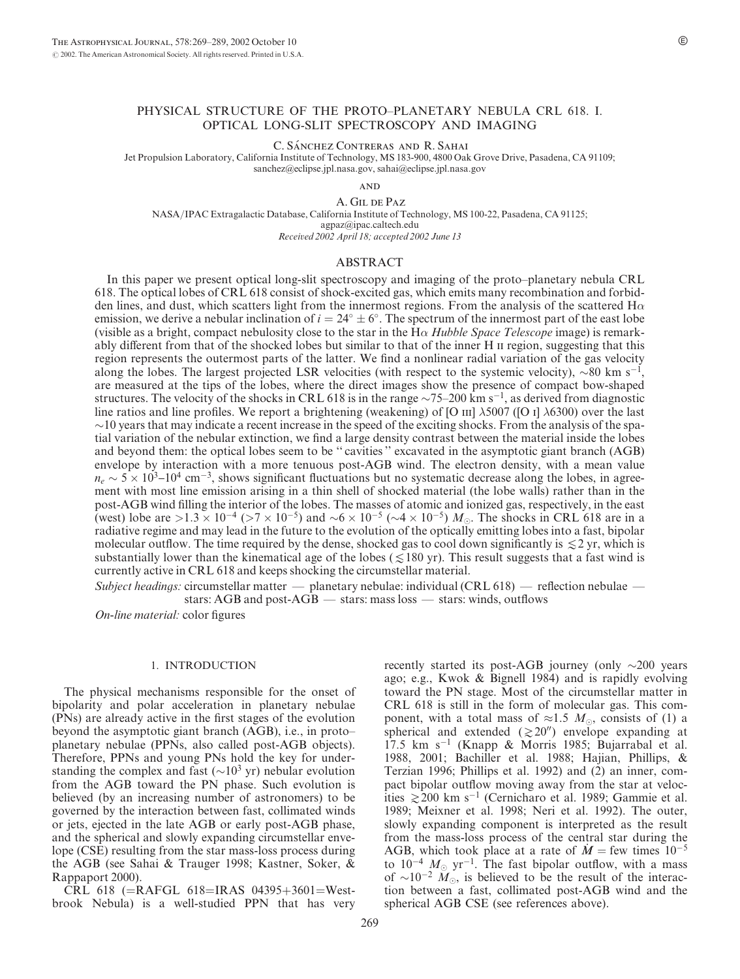# PHYSICAL STRUCTURE OF THE PROTO–PLANETARY NEBULA CRL 618. I. OPTICAL LONG-SLIT SPECTROSCOPY AND IMAGING

C. SÁNCHEZ CONTRERAS AND R. SAHAI

Jet Propulsion Laboratory, California Institute of Technology, MS 183-900, 4800 Oak Grove Drive, Pasadena, CA 91109; sanchez@eclipse.jpl.nasa.gov, sahai@eclipse.jpl.nasa.gov

**AND** 

A. Gil de Paz

NASA/IPAC Extragalactic Database, California Institute of Technology, MS 100-22, Pasadena, CA 91125; agpaz@ipac.caltech.edu

Received 2002 April 18; accepted 2002 June 13

#### ABSTRACT

In this paper we present optical long-slit spectroscopy and imaging of the proto–planetary nebula CRL 618. The optical lobes of CRL 618 consist of shock-excited gas, which emits many recombination and forbidden lines, and dust, which scatters light from the innermost regions. From the analysis of the scattered  $H\alpha$ emission, we derive a nebular inclination of  $i = 24^{\circ} \pm 6^{\circ}$ . The spectrum of the innermost part of the east lobe (visible as a bright, compact nebulosity close to the star in the  $H\alpha$  Hubble Space Telescope image) is remarkably different from that of the shocked lobes but similar to that of the inner H  $\scriptstyle\rm II$  region, suggesting that this region represents the outermost parts of the latter. We find a nonlinear radial variation of the gas velocity along the lobes. The largest projected LSR velocities (with respect to the systemic velocity),  $\sim 80$  km s<sup>-1</sup>, are measured at the tips of the lobes, where the direct images show the presence of compact bow-shaped structures. The velocity of the shocks in CRL 618 is in the range  $\sim$ 75–200 km s<sup>-1</sup>, as derived from diagnostic line ratios and line profiles. We report a brightening (weakening) of [O III]  $\lambda$ 5007 ([O I]  $\lambda$ 6300) over the last  $\sim$ 10 years that may indicate a recent increase in the speed of the exciting shocks. From the analysis of the spatial variation of the nebular extinction, we find a large density contrast between the material inside the lobes and beyond them: the optical lobes seem to be '' cavities '' excavated in the asymptotic giant branch (AGB) envelope by interaction with a more tenuous post-AGB wind. The electron density, with a mean value  $n_e \sim 5 \times 10^{3}$ –10<sup>4</sup> cm<sup>-3</sup>, shows significant fluctuations but no systematic decrease along the lobes, in agreement with most line emission arising in a thin shell of shocked material (the lobe walls) rather than in the post-AGB wind filling the interior of the lobes. The masses of atomic and ionized gas, respectively, in the east (west) lobe are  $>1.3 \times 10^{-4}$  ( $>7 \times 10^{-5}$ ) and  $\sim 6 \times 10^{-5}$  ( $\sim 4 \times 10^{-5}$ )  $M_{\odot}$ . The shocks in CRL 618 are in a radiative regime and may lead in the future to the evolution of the optically emitting lobes into a fast, bipolar molecular outflow. The time required by the dense, shocked gas to cool down significantly is  $\leq 2$  yr, which is substantially lower than the kinematical age of the lobes ( $\leq$ 180 yr). This result suggests that a fast wind is currently active in CRL 618 and keeps shocking the circumstellar material.

Subject headings: circumstellar matter — planetary nebulae: individual (CRL 618) — reflection nebulae stars: AGB and post-AGB — stars: mass loss — stars: winds, outflows

On-line material: color figures

#### 1. INTRODUCTION

The physical mechanisms responsible for the onset of bipolarity and polar acceleration in planetary nebulae (PNs) are already active in the first stages of the evolution beyond the asymptotic giant branch (AGB), i.e., in proto– planetary nebulae (PPNs, also called post-AGB objects). Therefore, PPNs and young PNs hold the key for understanding the complex and fast  $({\sim}10^3 \text{ yr})$  nebular evolution from the AGB toward the PN phase. Such evolution is believed (by an increasing number of astronomers) to be governed by the interaction between fast, collimated winds or jets, ejected in the late AGB or early post-AGB phase, and the spherical and slowly expanding circumstellar envelope (CSE) resulting from the star mass-loss process during the AGB (see Sahai & Trauger 1998; Kastner, Soker, & Rappaport 2000).

CRL 618 (=RAFGL 618=IRAS 04395+3601=Westbrook Nebula) is a well-studied PPN that has very

recently started its post-AGB journey (only  $\sim$ 200 years ago; e.g., Kwok & Bignell 1984) and is rapidly evolving toward the PN stage. Most of the circumstellar matter in CRL 618 is still in the form of molecular gas. This component, with a total mass of  $\approx 1.5$  M<sub>o</sub>, consists of (1) a spherical and extended  $(\ge 20'')$  envelope expanding at 17.5 km s<sup>-1</sup> (Knapp & Morris 1985; Bujarrabal et al. 1988, 2001; Bachiller et al. 1988; Hajian, Phillips, & Terzian 1996; Phillips et al. 1992) and (2) an inner, compact bipolar outflow moving away from the star at velocities  $\geq$  200 km s<sup>-1</sup> (Cernicharo et al. 1989; Gammie et al. 1989; Meixner et al. 1998; Neri et al. 1992). The outer, slowly expanding component is interpreted as the result from the mass-loss process of the central star during the AGB, which took place at a rate of  $M = few$  times  $10^{-5}$ to  $10^{-4}$   $M_{\odot}$  yr<sup>-1</sup>. The fast bipolar outflow, with a mass of  $\sim 10^{-2}$   $M_{\odot}$ , is believed to be the result of the interaction between a fast, collimated post-AGB wind and the spherical AGB CSE (see references above).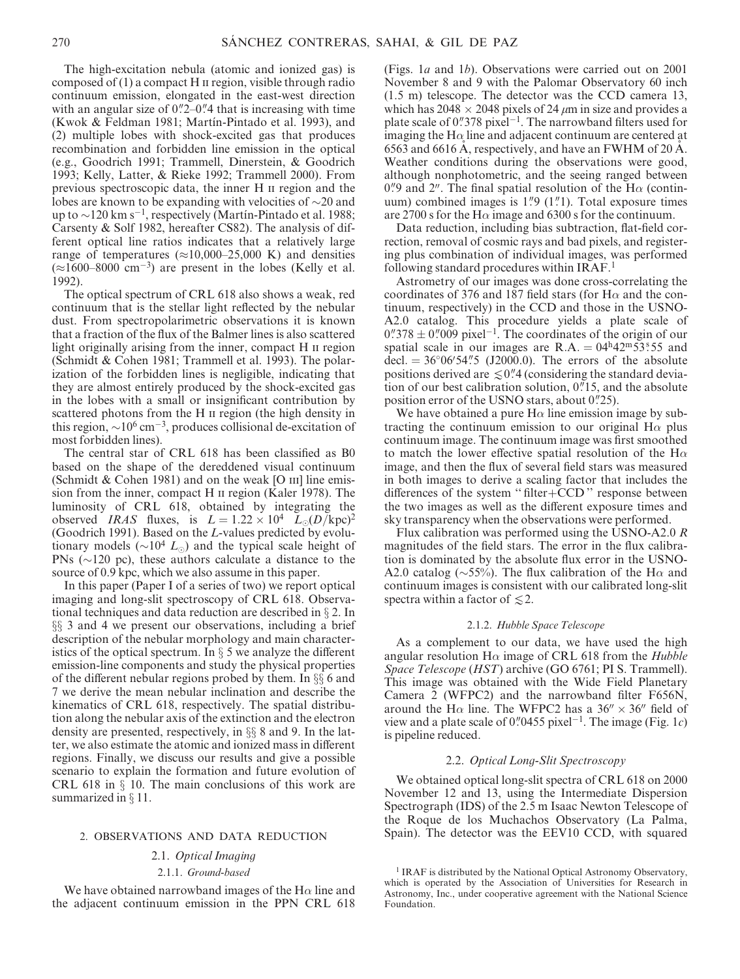The high-excitation nebula (atomic and ionized gas) is composed of  $(1)$  a compact H  $\pi$  region, visible through radio continuum emission, elongated in the east-west direction with an angular size of  $0\frac{1}{2}$ –0.<sup>1</sup>/4 that is increasing with time (Kwok & Feldman 1981; Martín-Pintado et al. 1993), and (2) multiple lobes with shock-excited gas that produces recombination and forbidden line emission in the optical (e.g., Goodrich 1991; Trammell, Dinerstein, & Goodrich 1993; Kelly, Latter, & Rieke 1992; Trammell 2000). From previous spectroscopic data, the inner H ii region and the lobes are known to be expanding with velocities of  $\sim$ 20 and up to  $\sim$ 120 km s<sup>-1</sup>, respectively (Martin-Pintado et al. 1988; Carsenty & Solf 1982, hereafter CS82). The analysis of different optical line ratios indicates that a relatively large range of temperatures ( $\approx$ 10,000–25,000 K) and densities  $(\approx 1600-8000 \text{ cm}^{-3})$  are present in the lobes (Kelly et al. 1992).

The optical spectrum of CRL 618 also shows a weak, red continuum that is the stellar light reflected by the nebular dust. From spectropolarimetric observations it is known that a fraction of the flux of the Balmer lines is also scattered light originally arising from the inner, compact H  $\mu$  region (Schmidt & Cohen 1981; Trammell et al. 1993). The polarization of the forbidden lines is negligible, indicating that they are almost entirely produced by the shock-excited gas in the lobes with a small or insignificant contribution by scattered photons from the H  $\scriptstyle\rm II$  region (the high density in this region,  $\sim 10^6$  cm<sup>-3</sup>, produces collisional de-excitation of most forbidden lines).

The central star of CRL 618 has been classified as B0 based on the shape of the dereddened visual continuum (Schmidt  $& Cohen 1981$ ) and on the weak [O  $\text{III}$ ] line emission from the inner, compact H ii region (Kaler 1978). The luminosity of CRL 618, obtained by integrating the observed IRAS fluxes, is  $L = 1.22 \times 10^4$   $L_{\odot}(D/\text{kpc})^2$ (Goodrich 1991). Based on the L-values predicted by evolutionary models ( $\sim 10^4$  L<sub>o</sub>) and the typical scale height of PNs ( $\sim$ 120 pc), these authors calculate a distance to the source of 0.9 kpc, which we also assume in this paper.

In this paper (Paper I of a series of two) we report optical imaging and long-slit spectroscopy of CRL 618. Observational techniques and data reduction are described in  $\S 2$ . In  $\S$ § 3 and 4 we present our observations, including a brief description of the nebular morphology and main characteristics of the optical spectrum. In  $\S$  5 we analyze the different emission-line components and study the physical properties of the different nebular regions probed by them. In  $\S$  6 and 7 we derive the mean nebular inclination and describe the kinematics of CRL 618, respectively. The spatial distribution along the nebular axis of the extinction and the electron density are presented, respectively, in  $\S$  8 and 9. In the latter, we also estimate the atomic and ionized mass in different regions. Finally, we discuss our results and give a possible scenario to explain the formation and future evolution of CRL 618 in  $\S$  10. The main conclusions of this work are summarized in  $\S 11$ .

### 2. OBSERVATIONS AND DATA REDUCTION

# 2.1. Optical Imaging 2.1.1. Ground-based

We have obtained narrowband images of the  $H\alpha$  line and the adjacent continuum emission in the PPN CRL 618 (Figs. 1a and 1b). Observations were carried out on 2001 November 8 and 9 with the Palomar Observatory 60 inch (1.5 m) telescope. The detector was the CCD camera 13, which has  $2048 \times 2048$  pixels of 24  $\mu$ m in size and provides a plate scale of  $0$ "378 pixel<sup>-1</sup>. The narrowband filters used for imaging the H $\alpha$  line and adjacent continuum are centered at 6563 and 6616 A, respectively, and have an FWHM of 20 A. Weather conditions during the observations were good, although nonphotometric, and the seeing ranged between 0."9 and 2". The final spatial resolution of the H $\alpha$  (continuum) combined images is  $1\overset{n}{\phantom{1}}9$  (1 $\overset{n}{\phantom{1}}1$ ). Total exposure times are 2700 s for the H $\alpha$  image and 6300 s for the continuum.

Data reduction, including bias subtraction, flat-field correction, removal of cosmic rays and bad pixels, and registering plus combination of individual images, was performed following standard procedures within IRAF.<sup>1</sup>

Astrometry of our images was done cross-correlating the coordinates of 376 and 187 field stars (for H $\alpha$  and the continuum, respectively) in the CCD and those in the USNO-A2.0 catalog. This procedure yields a plate scale of  $0\rlap.{''}378 \pm 0\rlap.{''}009$  pixel<sup>-1</sup>. The coordinates of the origin of our spatial scale in our images are R.A. =  $04<sup>h</sup>42<sup>m</sup>53<sup>s</sup>55$  and decl.  $= 36^{\circ}06'54''5$  (J2000.0). The errors of the absolute positions derived are  $\leq 0$ ". (considering the standard deviation of our best calibration solution,  $0$ . 15, and the absolute position error of the USNO stars, about  $0\rlap.{''}25$ ).

We have obtained a pure  $H\alpha$  line emission image by subtracting the continuum emission to our original  $H\alpha$  plus continuum image. The continuum image was first smoothed to match the lower effective spatial resolution of the H $\alpha$ image, and then the flux of several field stars was measured in both images to derive a scaling factor that includes the differences of the system '' filter+CCD '' response between the two images as well as the different exposure times and sky transparency when the observations were performed.

Flux calibration was performed using the USNO-A2.0  $$ magnitudes of the field stars. The error in the flux calibration is dominated by the absolute flux error in the USNO-A2.0 catalog ( $\sim$ 55%). The flux calibration of the H $\alpha$  and continuum images is consistent with our calibrated long-slit spectra within a factor of  $\leq 2$ .

#### 2.1.2. Hubble Space Telescope

As a complement to our data, we have used the high angular resolution  $H\alpha$  image of CRL 618 from the *Hubble* Space Telescope (HST) archive (GO 6761; PI S. Trammell). This image was obtained with the Wide Field Planetary Camera 2 (WFPC2) and the narrowband filter F656N, around the H $\alpha$  line. The WFPC2 has a 36"  $\times$  36" field of view and a plate scale of 0".0455 pixel<sup>-1</sup>. The image (Fig. 1c) is pipeline reduced.

### 2.2. Optical Long-Slit Spectroscopy

We obtained optical long-slit spectra of CRL 618 on 2000 November 12 and 13, using the Intermediate Dispersion Spectrograph (IDS) of the 2.5 m Isaac Newton Telescope of the Roque de los Muchachos Observatory (La Palma, Spain). The detector was the EEV10 CCD, with squared

<sup>&</sup>lt;sup>1</sup> IRAF is distributed by the National Optical Astronomy Observatory, which is operated by the Association of Universities for Research in Astronomy, Inc., under cooperative agreement with the National Science Foundation.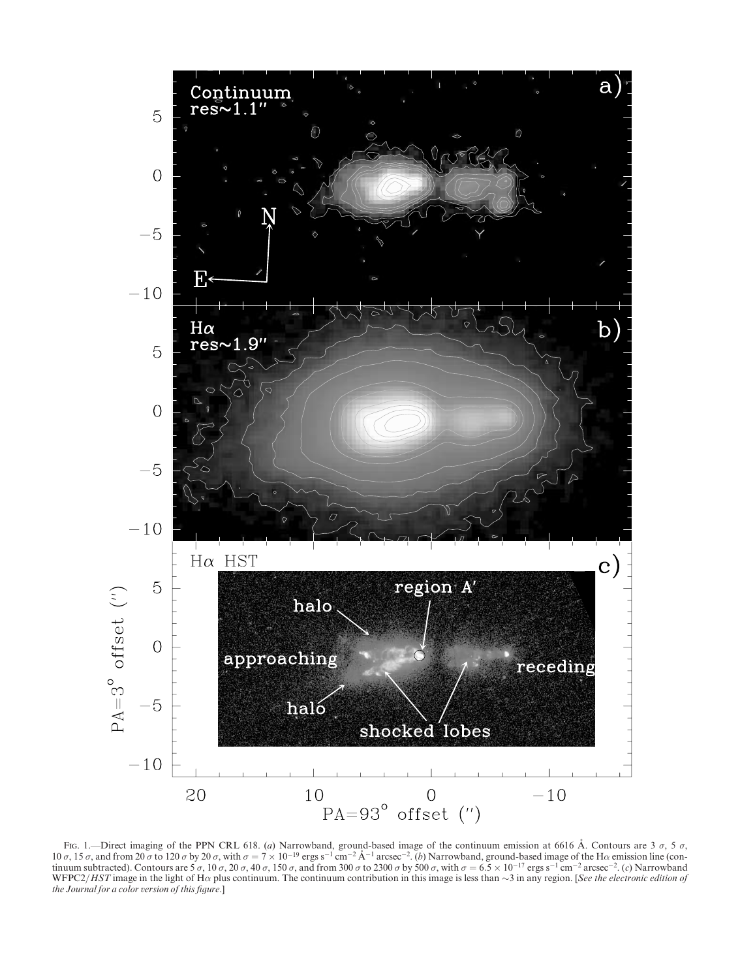

Fig. 1.—Direct imaging of the PPN CRL 618. (a) Narrowband, ground-based image of the continuum emission at 6616 Å. Contours are 3  $\sigma$ , 5  $\sigma$ ,  $10 \sigma$ ,  $15 \sigma$ , and from  $20 \sigma$  to  $120 \sigma$  by  $20 \sigma$ , with  $\sigma = 7 \times 10^{-19}$  ergs s<sup>-1</sup> cm<sup>-2</sup> Å<sup>-1</sup> arcsec<sup>-2</sup>. (b) Narrowband, ground-based image of the H $\alpha$  emission line (continuum subtracted). Contours are 5  $\sigma$ , 10  $\sigma$ , 20  $\sigma$ , 40  $\sigma$ , 150  $\sigma$ , and from 300  $\sigma$  to 2300  $\sigma$  by 500  $\sigma$ , with  $\sigma = 6.5 \times 10^{-17}$  ergs s<sup>-1</sup> cm<sup>-2</sup> arcsec<sup>-2</sup>. (c) Narrowband WFPC2/HST image in the light of H $\alpha$  plus continuum. The continuum contribution in this image is less than  $\sim$ 3 in any region. [See the electronic edition of the Journal for a color version of this figure.]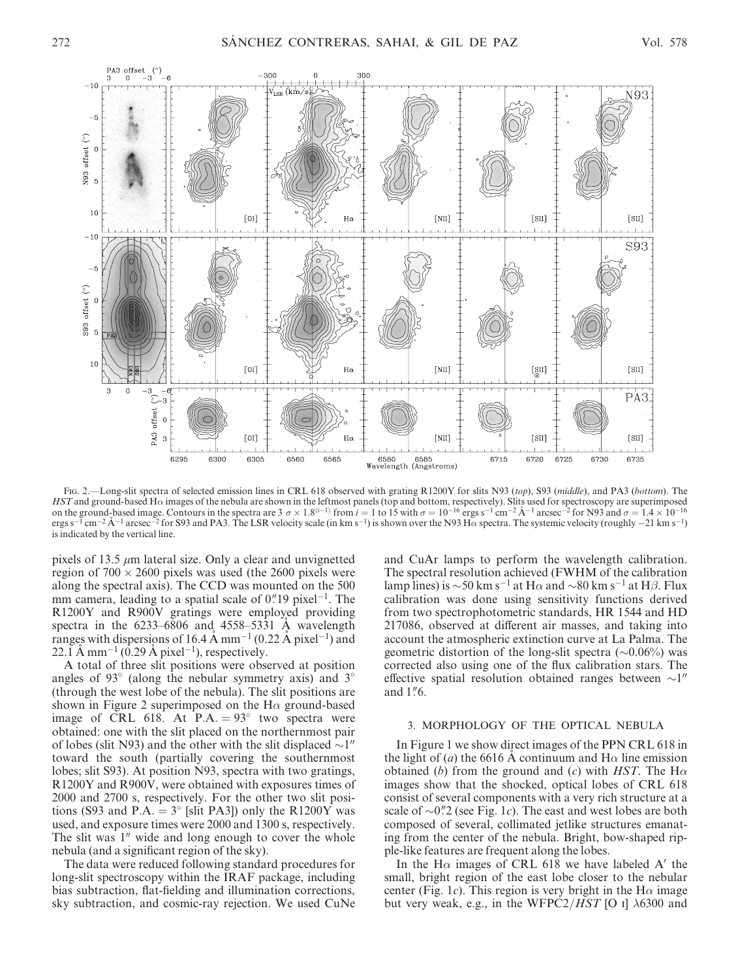

Fig. 2.—Long-slit spectra of selected emission lines in CRL 618 observed with grating R1200Y for slits N93 (top), S93 (middle), and PA3 (bottom). The  $HST$  and ground-based H $\alpha$  images of the nebula are shown in the leftmost panels (top and bottom, respectively). Slits used for spectroscopy are superimposed on the ground-based image. Contours in the spectra are  $3 \sigma \times 1.8^{(i-1)}$  from  $i = 1$  to  $15$  with  $\sigma = 10^{-16}$  ergs s<sup>-1</sup> cm<sup>-2</sup> A<sup>-1</sup> arcsec<sup>-2</sup> for N93 and  $\sigma = 1.4 \times 10^{-16}$ ergs s<sup>-1</sup> cm<sup>-2</sup> Å<sup>-1</sup> arcsec<sup>-2</sup> for S93 and PA3. The LSR velocity scale (in km s<sup>-1</sup>) is shown over the N93 H $\alpha$  spectra. The systemic velocity (roughly -21 km s<sup>-1</sup>) is indicated by the vertical line.

pixels of 13.5  $\mu$ m lateral size. Only a clear and unvignetted region of  $700 \times 2600$  pixels was used (the 2600 pixels were along the spectral axis). The CCD was mounted on the 500 mm camera, leading to a spatial scale of  $0$ ." 19 pixel<sup>-1</sup>. The R1200Y and R900V gratings were employed providing spectra in the  $6233-6806$  and  $4558-5331$  Å wavelength ranges with dispersions of 16.4 Å mm<sup>-1</sup> (0.22 Å pixel<sup>-1</sup>) and 22.1 A mm<sup>-1</sup> (0.29 A pixel<sup>-1</sup>), respectively.

A total of three slit positions were observed at position angles of 93 $\degree$  (along the nebular symmetry axis) and 3 $\degree$ (through the west lobe of the nebula). The slit positions are shown in Figure 2 superimposed on the  $H\alpha$  ground-based image of CRL 618. At P.A.  $= 93^{\circ}$  two spectra were obtained: one with the slit placed on the northernmost pair of lobes (slit N93) and the other with the slit displaced  $\sim$ 1" toward the south (partially covering the southernmost lobes; slit S93). At position N93, spectra with two gratings, R1200Y and R900V, were obtained with exposures times of 2000 and 2700 s, respectively. For the other two slit positions (S93 and P.A.  $= 3^{\circ}$  [slit PA3]) only the R1200Y was used, and exposure times were 2000 and 1300 s, respectively. The slit was  $1<sup>0</sup>$  wide and long enough to cover the whole nebula (and a significant region of the sky).

The data were reduced following standard procedures for long-slit spectroscopy within the IRAF package, including bias subtraction, flat-fielding and illumination corrections, sky subtraction, and cosmic-ray rejection. We used CuNe

and CuAr lamps to perform the wavelength calibration. The spectral resolution achieved (FWHM of the calibration lamp lines) is  $\sim$  50 km s<sup>-1</sup> at H $\alpha$  and  $\sim$  80 km s<sup>-1</sup> at H $\beta$ . Flux calibration was done using sensitivity functions derived from two spectrophotometric standards, HR 1544 and HD 217086, observed at different air masses, and taking into account the atmospheric extinction curve at La Palma. The geometric distortion of the long-slit spectra  $(\sim 0.06\%)$  was corrected also using one of the flux calibration stars. The effective spatial resolution obtained ranges between  $\sim$ 1" and 1"6.

# 3. MORPHOLOGY OF THE OPTICAL NEBULA

In Figure 1 we show direct images of the PPN CRL 618 in the light of (*a*) the 6616 A continuum and H $\alpha$  line emission obtained (b) from the ground and (c) with HST. The H $\alpha$ images show that the shocked, optical lobes of CRL 618 consist of several components with a very rich structure at a scale of  $\sim 0\%2$  (see Fig. 1c). The east and west lobes are both composed of several, collimated jetlike structures emanating from the center of the nebula. Bright, bow-shaped ripple-like features are frequent along the lobes.

In the H $\alpha$  images of CRL 618 we have labeled A' the small, bright region of the east lobe closer to the nebular center (Fig. 1c). This region is very bright in the H $\alpha$  image but very weak, e.g., in the WFPC2/*HST* [O I]  $\lambda$ 6300 and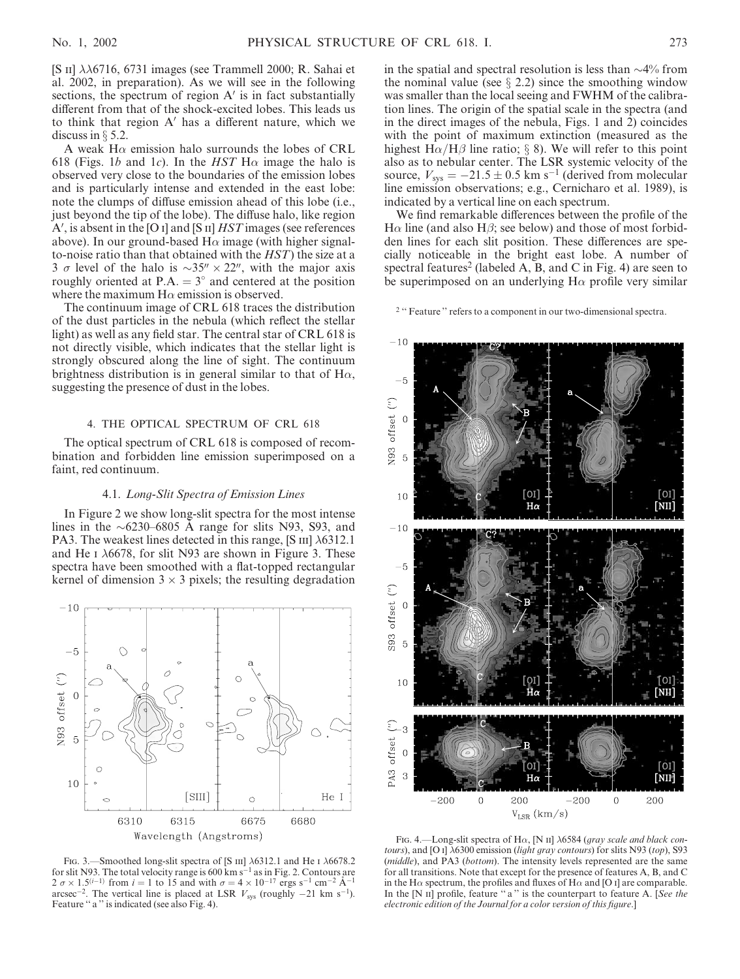[S II]  $\lambda\lambda$ 6716, 6731 images (see Trammell 2000; R. Sahai et al. 2002, in preparation). As we will see in the following sections, the spectrum of region  $A'$  is in fact substantially different from that of the shock-excited lobes. This leads us to think that region  $A'$  has a different nature, which we discuss in  $\S$  5.2.

A weak H $\alpha$  emission halo surrounds the lobes of CRL 618 (Figs. 1b and 1c). In the HST H $\alpha$  image the halo is observed very close to the boundaries of the emission lobes and is particularly intense and extended in the east lobe: note the clumps of diffuse emission ahead of this lobe (i.e., just beyond the tip of the lobe). The diffuse halo, like region  $A'$ , is absent in the [O i] and [S ii]  $HST$  images (see references above). In our ground-based  $H\alpha$  image (with higher signalto-noise ratio than that obtained with the HST) the size at a 3  $\sigma$  level of the halo is  $\sim$ 35"  $\times$  22", with the major axis roughly oriented at P.A.  $= 3^{\circ}$  and centered at the position where the maximum  $H\alpha$  emission is observed.

The continuum image of CRL 618 traces the distribution of the dust particles in the nebula (which reflect the stellar light) as well as any field star. The central star of CRL 618 is not directly visible, which indicates that the stellar light is strongly obscured along the line of sight. The continuum brightness distribution is in general similar to that of  $H\alpha$ , suggesting the presence of dust in the lobes.

# 4. THE OPTICAL SPECTRUM OF CRL 618

The optical spectrum of CRL 618 is composed of recombination and forbidden line emission superimposed on a faint, red continuum.

### 4.1. Long-Slit Spectra of Emission Lines

In Figure 2 we show long-slit spectra for the most intense lines in the  $\sim 6230 - 6805$  A range for slits N93, S93, and PA3. The weakest lines detected in this range, [S iii]  $\lambda$ 6312.1 and He I  $\lambda$ 6678, for slit N93 are shown in Figure 3. These spectra have been smoothed with a flat-topped rectangular kernel of dimension  $3 \times 3$  pixels; the resulting degradation



FIG. 3. Smoothed long-slit spectra of [S  $\text{III}$ ]  $\lambda$ 6312.1 and He I  $\lambda$ 6678.2 for slit N93. The total velocity range is 600 km s<sup>-1</sup> as in Fig. 2. Contours are  $2 \sigma \times 1.5^{(i-1)}$  from  $i = 1$  to 15 and with  $\sigma = 4 \times 10^{-17}$  ergs s<sup>-1</sup> cm<sup>-2</sup> A<sup>-1</sup> arcsec<sup>-2</sup>. The vertical line is placed at LSR  $V_{sys}$  (roughly  $-21 \text{ km s}^{-1}$ ). Feature "a" is indicated (see also Fig. 4).

in the spatial and spectral resolution is less than  $\sim$ 4% from the nominal value (see  $\S$  2.2) since the smoothing window was smaller than the local seeing and FWHM of the calibration lines. The origin of the spatial scale in the spectra (and in the direct images of the nebula, Figs. 1 and 2) coincides with the point of maximum extinction (measured as the highest  $H\alpha/H\beta$  line ratio; § 8). We will refer to this point also as to nebular center. The LSR systemic velocity of the source,  $V_{sys} = -21.5 \pm 0.5$  km s<sup>-1</sup> (derived from molecular line emission observations; e.g., Cernicharo et al. 1989), is indicated by a vertical line on each spectrum.

We find remarkable differences between the profile of the  $H\alpha$  line (and also H $\beta$ ; see below) and those of most forbidden lines for each slit position. These differences are specially noticeable in the bright east lobe. A number of spectral features<sup>2</sup> (labeled A, B, and C in Fig. 4) are seen to be superimposed on an underlying  $H\alpha$  profile very similar

<sup>2</sup> "Feature" refers to a component in our two-dimensional spectra.



FIG. 4.—Long-slit spectra of H $\alpha$ , [N II]  $\lambda$ 6584 (gray scale and black contours), and [O I]  $\lambda$ 6300 emission (light gray contours) for slits N93 (top), S93 (middle), and PA3 (bottom). The intensity levels represented are the same for all transitions. Note that except for the presence of features A, B, and C in the H $\alpha$  spectrum, the profiles and fluxes of H $\alpha$  and [O I] are comparable. In the  $[N \nI]$  profile, feature "a" is the counterpart to feature A. [See the electronic edition of the Journal for a color version of this figure.]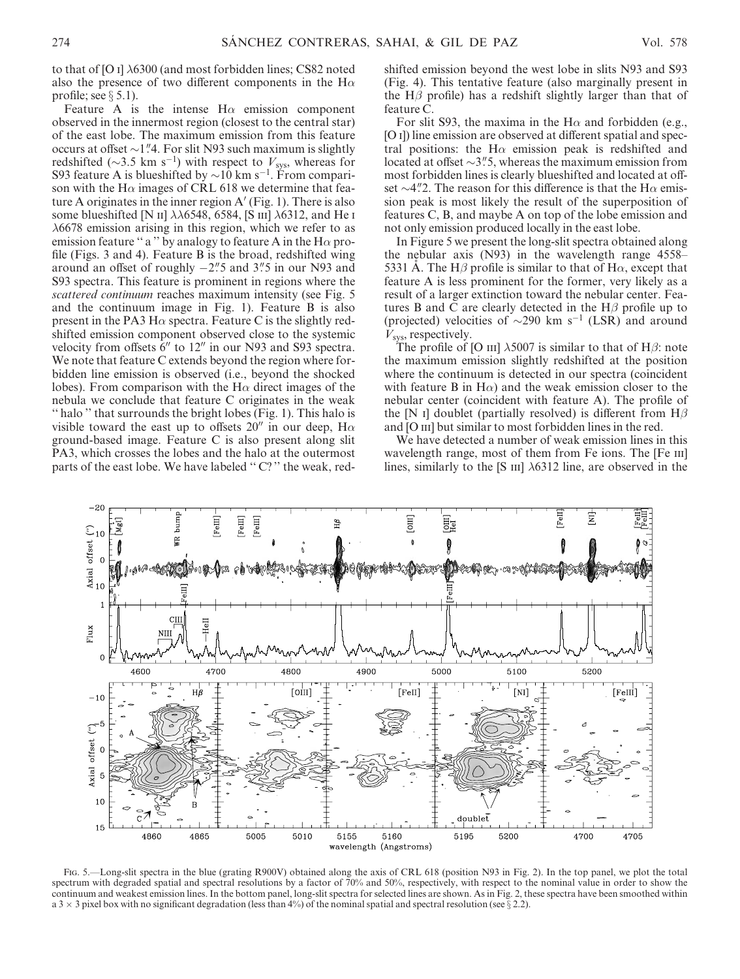to that of [O I]  $\lambda$ 6300 (and most forbidden lines; CS82 noted also the presence of two different components in the  $H\alpha$ profile; see  $\S 5.1$ ).

Feature A is the intense  $H\alpha$  emission component observed in the innermost region (closest to the central star) of the east lobe. The maximum emission from this feature occurs at offset  $\sim$ 1".4. For slit N93 such maximum is slightly redshifted ( $\sim$ 3.5 km s<sup>-1</sup>) with respect to  $V_{sys}$ , whereas for S93 feature A is blueshifted by  $\sim$ 10 km s<sup>-1</sup>. From comparison with the H $\alpha$  images of CRL 618 we determine that feature A originates in the inner region  $A'$  (Fig. 1). There is also some blueshifted [N ii]  $\lambda\lambda$ 6548, 6584, [S iii]  $\lambda$ 6312, and He i  $\lambda$ 6678 emission arising in this region, which we refer to as emission feature "a" by analogy to feature A in the  $H\alpha$  profile (Figs. 3 and 4). Feature B is the broad, redshifted wing around an offset of roughly  $-2$ "5 and 3"5 in our N93 and S93 spectra. This feature is prominent in regions where the scattered continuum reaches maximum intensity (see Fig. 5 and the continuum image in Fig. 1). Feature B is also present in the PA3 H $\alpha$  spectra. Feature C is the slightly redshifted emission component observed close to the systemic velocity from offsets  $6''$  to  $12''$  in our N93 and S93 spectra. We note that feature C extends beyond the region where forbidden line emission is observed (i.e., beyond the shocked lobes). From comparison with the H $\alpha$  direct images of the nebula we conclude that feature C originates in the weak '' halo '' that surrounds the bright lobes (Fig. 1). This halo is visible toward the east up to offsets 20" in our deep,  $H\alpha$ ground-based image. Feature C is also present along slit PA3, which crosses the lobes and the halo at the outermost parts of the east lobe. We have labeled "C?" the weak, redshifted emission beyond the west lobe in slits N93 and S93 (Fig. 4). This tentative feature (also marginally present in the H $\beta$  profile) has a redshift slightly larger than that of feature C.

For slit S93, the maxima in the H $\alpha$  and forbidden (e.g., [O I]) line emission are observed at different spatial and spectral positions: the H $\alpha$  emission peak is redshifted and located at offset  $\sim$ 3".5, whereas the maximum emission from most forbidden lines is clearly blueshifted and located at offset  $\sim$ 4".2. The reason for this difference is that the H $\alpha$  emission peak is most likely the result of the superposition of features C, B, and maybe A on top of the lobe emission and not only emission produced locally in the east lobe.

In Figure 5 we present the long-slit spectra obtained along the nebular axis (N93) in the wavelength range 4558– 5331 Å. The H $\beta$  profile is similar to that of H $\alpha$ , except that feature A is less prominent for the former, very likely as a result of a larger extinction toward the nebular center. Features B and C are clearly detected in the  $H\beta$  profile up to (projected) velocities of  $\sim$ 290 km s<sup>-1</sup> (LSR) and around  $V_{sys}$ , respectively.

The profile of [O III]  $\lambda$ 5007 is similar to that of H $\beta$ : note the maximum emission slightly redshifted at the position where the continuum is detected in our spectra (coincident with feature B in H $\alpha$ ) and the weak emission closer to the nebular center (coincident with feature A). The profile of the [N I] doublet (partially resolved) is different from  $H\beta$ and [O III] but similar to most forbidden lines in the red.

We have detected a number of weak emission lines in this wavelength range, most of them from Fe ions. The [Fe III] lines, similarly to the [S  $\text{III}$ ]  $\lambda$ 6312 line, are observed in the



Fig. 5.—Long-slit spectra in the blue (grating R900V) obtained along the axis of CRL 618 (position N93 in Fig. 2). In the top panel, we plot the total spectrum with degraded spatial and spectral resolutions by a factor of 70% and 50%, respectively, with respect to the nominal value in order to show the continuum and weakest emission lines. In the bottom panel, long-slit spectra for selected lines are shown. As in Fig. 2, these spectra have been smoothed within a 3  $\times$  3 pixel box with no significant degradation (less than 4%) of the nominal spatial and spectral resolution (see  $\S$  2.2).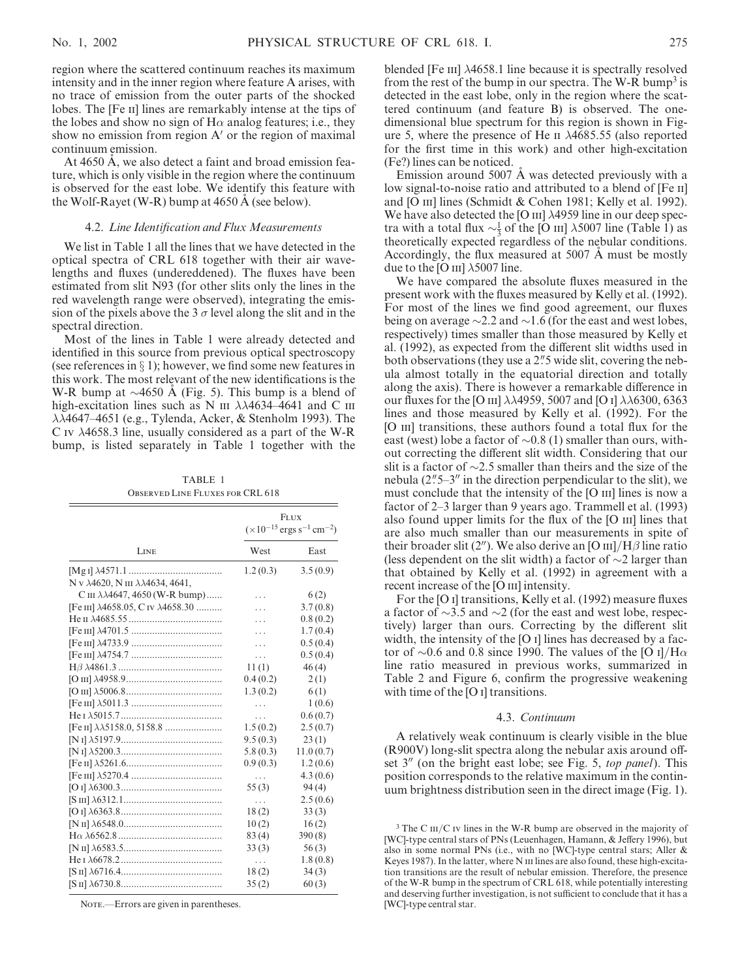region where the scattered continuum reaches its maximum intensity and in the inner region where feature A arises, with no trace of emission from the outer parts of the shocked lobes. The [Fe ii] lines are remarkably intense at the tips of the lobes and show no sign of  $H\alpha$  analog features; i.e., they show no emission from region  $A'$  or the region of maximal continuum emission.

At 4650 A, we also detect a faint and broad emission feature, which is only visible in the region where the continuum is observed for the east lobe. We identify this feature with the Wolf-Rayet (W-R) bump at  $4650 \text{ Å}$  (see below).

# 4.2. Line Identification and Flux Measurements

We list in Table 1 all the lines that we have detected in the optical spectra of CRL 618 together with their air wavelengths and fluxes (undereddened). The fluxes have been estimated from slit N93 (for other slits only the lines in the red wavelength range were observed), integrating the emission of the pixels above the 3  $\sigma$  level along the slit and in the spectral direction.

Most of the lines in Table 1 were already detected and identified in this source from previous optical spectroscopy (see references in  $\S$  1); however, we find some new features in this work. The most relevant of the new identifications is the W-R bump at  $\sim$ 4650 Å (Fig. 5). This bump is a blend of high-excitation lines such as N III  $\lambda\lambda$ 4634-4641 and C III  $\lambda\lambda$ 4647–4651 (e.g., Tylenda, Acker, & Stenholm 1993). The C IV  $\lambda$ 4658.3 line, usually considered as a part of the W-R bump, is listed separately in Table 1 together with the

TABLE 1 Observed Line Fluxes for CRL 618

|                                                        | <b>FLUX</b><br>$(\times 10^{-15}$ ergs s <sup>-1</sup> cm <sup>-2</sup> ) |           |
|--------------------------------------------------------|---------------------------------------------------------------------------|-----------|
| LINE                                                   | West                                                                      | East      |
|                                                        | 1.2(0.3)                                                                  | 3.5(0.9)  |
| N v $\lambda$ 4620, N III $\lambda\lambda$ 4634, 4641, |                                                                           |           |
| C III $\lambda\lambda$ 4647, 4650 (W-R bump)           | .                                                                         | 6(2)      |
| [Fe III] $\lambda$ 4658.05, C IV $\lambda$ 4658.30     | .                                                                         | 3.7(0.8)  |
|                                                        |                                                                           | 0.8(0.2)  |
|                                                        | .                                                                         | 1.7(0.4)  |
|                                                        | .                                                                         | 0.5(0.4)  |
|                                                        | .                                                                         | 0.5(0.4)  |
|                                                        | 11(1)                                                                     | 46(4)     |
|                                                        | 0.4(0.2)                                                                  | 2(1)      |
|                                                        | 1.3(0.2)                                                                  | 6(1)      |
|                                                        |                                                                           | 1(0.6)    |
|                                                        | .                                                                         | 0.6(0.7)  |
|                                                        | 1.5(0.2)                                                                  | 2.5(0.7)  |
|                                                        | 9.5(0.3)                                                                  | 23(1)     |
|                                                        | 5.8(0.3)                                                                  | 11.0(0.7) |
|                                                        | 0.9(0.3)                                                                  | 1.2(0.6)  |
|                                                        | .                                                                         | 4.3(0.6)  |
|                                                        | 55(3)                                                                     | 94(4)     |
|                                                        |                                                                           | 2.5(0.6)  |
|                                                        | 18(2)                                                                     | 33(3)     |
|                                                        | 10(2)                                                                     | 16(2)     |
|                                                        | 83(4)                                                                     | 390(8)    |
|                                                        | 33(3)                                                                     | 56(3)     |
|                                                        | .                                                                         | 1.8(0.8)  |
|                                                        | 18(2)                                                                     | 34(3)     |
|                                                        | 35(2)                                                                     | 60(3)     |

NOTE.—Errors are given in parentheses.

blended [Fe III]  $\lambda$ 4658.1 line because it is spectrally resolved from the rest of the bump in our spectra. The W-R bump<sup>3</sup> is detected in the east lobe, only in the region where the scattered continuum (and feature B) is observed. The onedimensional blue spectrum for this region is shown in Figure 5, where the presence of He  $\text{II}$   $\lambda$ 4685.55 (also reported for the first time in this work) and other high-excitation (Fe?) lines can be noticed.

Emission around 5007 A was detected previously with a low signal-to-noise ratio and attributed to a blend of [Fe ii] and [O III] lines (Schmidt & Cohen 1981; Kelly et al. 1992). We have also detected the [O III]  $\lambda$ 4959 line in our deep spectra with a total flux  $\sim \frac{1}{3}$  of the [O iii]  $\lambda$ 5007 line (Table 1) as theoretically expected regardless of the nebular conditions. Accordingly, the flux measured at 5007  $\AA$  must be mostly due to the [O III]  $\lambda$ 5007 line.

We have compared the absolute fluxes measured in the present work with the fluxes measured by Kelly et al. (1992). For most of the lines we find good agreement, our fluxes being on average  $\sim$  2.2 and  $\sim$  1.6 (for the east and west lobes, respectively) times smaller than those measured by Kelly et al. (1992), as expected from the different slit widths used in both observations (they use a 2"5 wide slit, covering the nebula almost totally in the equatorial direction and totally along the axis). There is however a remarkable difference in our fluxes for the [O III]  $\lambda\lambda$ 4959, 5007 and [O I]  $\lambda\lambda$ 6300, 6363 lines and those measured by Kelly et al. (1992). For the [O III] transitions, these authors found a total flux for the east (west) lobe a factor of  $\sim 0.8$  (1) smaller than ours, without correcting the different slit width. Considering that our slit is a factor of  $\sim$ 2.5 smaller than theirs and the size of the nebula  $(2.5-3)$ " in the direction perpendicular to the slit), we must conclude that the intensity of the [O III] lines is now a factor of 2–3 larger than 9 years ago. Trammell et al. (1993) also found upper limits for the flux of the [O  $\text{III}$ ] lines that are also much smaller than our measurements in spite of their broader slit (2"). We also derive an [O  $\text{III}/\text{H}\beta$  line ratio (less dependent on the slit width) a factor of  $\sim$ 2 larger than that obtained by Kelly et al. (1992) in agreement with a recent increase of the [O III] intensity.

For the [O i] transitions, Kelly et al. (1992) measure fluxes a factor of  $\sim$ 3.5 and  $\sim$ 2 (for the east and west lobe, respectively) larger than ours. Correcting by the different slit width, the intensity of the [O I] lines has decreased by a factor of  $\sim 0.6$  and 0.8 since 1990. The values of the [O i]/H $\alpha$ line ratio measured in previous works, summarized in Table 2 and Figure 6, confirm the progressive weakening with time of the [O I] transitions.

#### 4.3. Continuum

A relatively weak continuum is clearly visible in the blue (R900V) long-slit spectra along the nebular axis around offset  $3''$  (on the bright east lobe; see Fig. 5, top panel). This position corresponds to the relative maximum in the continuum brightness distribution seen in the direct image (Fig. 1).

 $3$  The C  $\rm{III/C}$  iv lines in the W-R bump are observed in the majority of [WC]-type central stars of PNs (Leuenhagen, Hamann, & Jeffery 1996), but also in some normal PNs (i.e., with no [WC]-type central stars; Aller & Keyes 1987). In the latter, where N III lines are also found, these high-excitation transitions are the result of nebular emission. Therefore, the presence of the W-R bump in the spectrum of CRL 618, while potentially interesting and deserving further investigation, is not sufficient to conclude that it has a [WC]-type central star.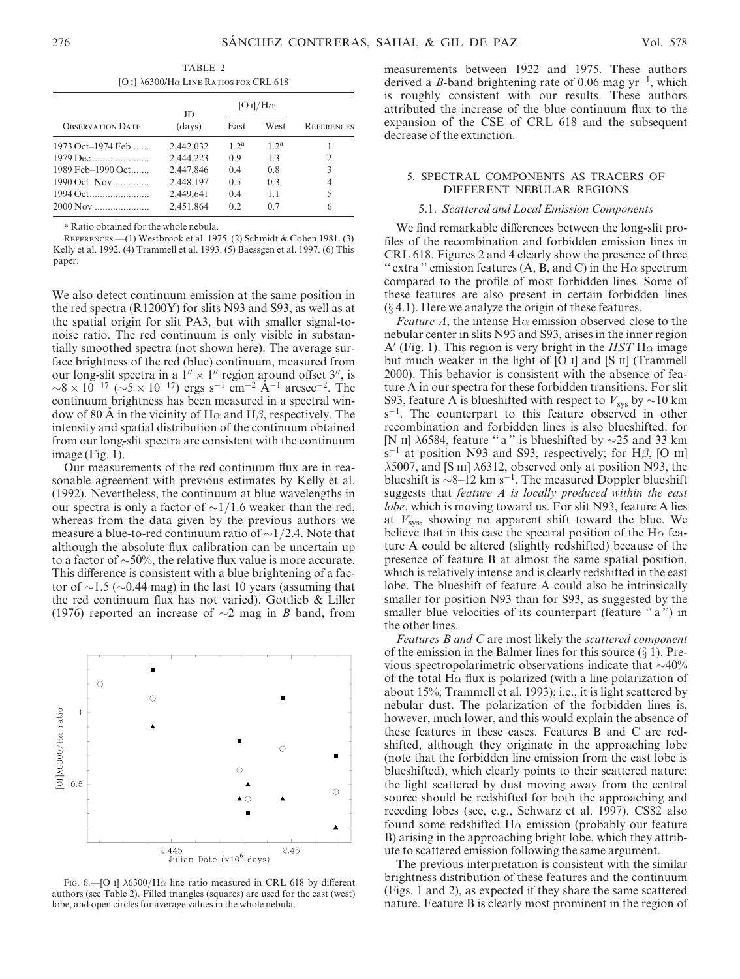TABLE 2 [O I]  $\lambda$ 6300/H $\alpha$  Line Ratios for CRL 618

|                         | JD        | [O I]/H $\alpha$ |                |                   |  |
|-------------------------|-----------|------------------|----------------|-------------------|--|
| <b>OBSERVATION DATE</b> | (days)    | East             | West           | <b>REFERENCES</b> |  |
| 1973 Oct-1974 Feb       | 2,442,032 | $12^a$           | $12^a$         |                   |  |
|                         | 2,444,223 | 09               | 13             | 2                 |  |
| 1989 Feb-1990 Oct       | 2,447,846 | 04               | 0.8            | 3                 |  |
| 1990 Oct–Nov            | 2,448,197 | 0 <sub>5</sub>   | 0 <sup>3</sup> | 4                 |  |
| 1994 Oct                | 2,449,641 | 04               | 1.1            | 5                 |  |
| 2000 Nov                | 2,451,864 | 02               | 0.7            | 6                 |  |

<sup>a</sup> Ratio obtained for the whole nebula.

REFERENCES.—(1) Westbrook et al. 1975. (2) Schmidt & Cohen 1981. (3) Kelly et al. 1992. (4) Trammell et al. 1993. (5) Baessgen et al. 1997. (6) This paper.

We also detect continuum emission at the same position in the red spectra (R1200Y) for slits N93 and S93, as well as at the spatial origin for slit PA3, but with smaller signal-tonoise ratio. The red continuum is only visible in substantially smoothed spectra (not shown here). The average surface brightness of the red (blue) continuum, measured from our long-slit spectra in a  $1'' \times 1''$  region around offset 3", is  $\sim 8 \times 10^{-17}$  ( $\sim 5 \times 10^{-17}$ ) ergs s<sup>-1</sup> cm<sup>-2</sup> A<sup>-1</sup> arcsec<sup>-2</sup>. The continuum brightness has been measured in a spectral window of 80 A in the vicinity of H $\alpha$  and H $\beta$ , respectively. The intensity and spatial distribution of the continuum obtained from our long-slit spectra are consistent with the continuum image (Fig. 1).

Our measurements of the red continuum flux are in reasonable agreement with previous estimates by Kelly et al. (1992). Nevertheless, the continuum at blue wavelengths in our spectra is only a factor of  $\sim 1/1.6$  weaker than the red, whereas from the data given by the previous authors we measure a blue-to-red continuum ratio of  $\sim$ 1/2.4. Note that although the absolute flux calibration can be uncertain up to a factor of  $\sim 50\%$ , the relative flux value is more accurate. This difference is consistent with a blue brightening of a factor of  $\sim$ 1.5 ( $\sim$ 0.44 mag) in the last 10 years (assuming that the red continuum flux has not varied). Gottlieb & Liller (1976) reported an increase of  $\sim$ 2 mag in B band, from



FIG. 6.  $-[O I]$   $\lambda$ 6300/H $\alpha$  line ratio measured in CRL 618 by different authors (see Table 2). Filled triangles (squares) are used for the east (west) lobe, and open circles for average values in the whole nebula.

measurements between 1922 and 1975. These authors derived a *B*-band brightening rate of 0.06 mag  $yr^{-1}$ , which is roughly consistent with our results. These authors attributed the increase of the blue continuum flux to the expansion of the CSE of CRL 618 and the subsequent decrease of the extinction.

# 5. SPECTRAL COMPONENTS AS TRACERS OF DIFFERENT NEBULAR REGIONS

# 5.1. Scattered and Local Emission Components

We find remarkable differences between the long-slit profiles of the recombination and forbidden emission lines in CRL 618. Figures 2 and 4 clearly show the presence of three " extra " emission features (A, B, and C) in the  $H\alpha$  spectrum compared to the profile of most forbidden lines. Some of these features are also present in certain forbidden lines  $(\S 4.1)$ . Here we analyze the origin of these features.

*Feature A*, the intense  $H\alpha$  emission observed close to the nebular center in slits N93 and S93, arises in the inner region A' (Fig. 1). This region is very bright in the  $HST$  H $\alpha$  image but much weaker in the light of [O i] and [S ii] (Trammell 2000). This behavior is consistent with the absence of feature A in our spectra for these forbidden transitions. For slit S93, feature A is blueshifted with respect to  $V_{sys}$  by  $\sim$ 10 km  $s^{-1}$ . The counterpart to this feature observed in other recombination and forbidden lines is also blueshifted: for [N II]  $\lambda$ 6584, feature "a" is blueshifted by  $\sim$ 25 and 33 km  $s^{-1}$  at position N93 and S93, respectively; for H $\beta$ , [O iii]  $\lambda$ 5007, and [S III]  $\lambda$ 6312, observed only at position N93, the blueshift is  $\sim 8-12$  km s<sup>-1</sup>. The measured Doppler blueshift suggests that *feature A* is *locally produced within the east* lobe, which is moving toward us. For slit N93, feature A lies at  $V_{sys}$ , showing no apparent shift toward the blue. We believe that in this case the spectral position of the H $\alpha$  feature A could be altered (slightly redshifted) because of the presence of feature B at almost the same spatial position, which is relatively intense and is clearly redshifted in the east lobe. The blueshift of feature A could also be intrinsically smaller for position N93 than for S93, as suggested by the smaller blue velocities of its counterpart (feature "a") in the other lines.

Features B and C are most likely the scattered component of the emission in the Balmer lines for this source  $(\S 1)$ . Previous spectropolarimetric observations indicate that  $\sim$ 40% of the total H $\alpha$  flux is polarized (with a line polarization of about 15%; Trammell et al. 1993); i.e., it is light scattered by nebular dust. The polarization of the forbidden lines is, however, much lower, and this would explain the absence of these features in these cases. Features B and C are redshifted, although they originate in the approaching lobe (note that the forbidden line emission from the east lobe is blueshifted), which clearly points to their scattered nature: the light scattered by dust moving away from the central source should be redshifted for both the approaching and receding lobes (see, e.g., Schwarz et al. 1997). CS82 also found some redshifted  $H\alpha$  emission (probably our feature B) arising in the approaching bright lobe, which they attribute to scattered emission following the same argument.

The previous interpretation is consistent with the similar brightness distribution of these features and the continuum (Figs. 1 and 2), as expected if they share the same scattered nature. Feature B is clearly most prominent in the region of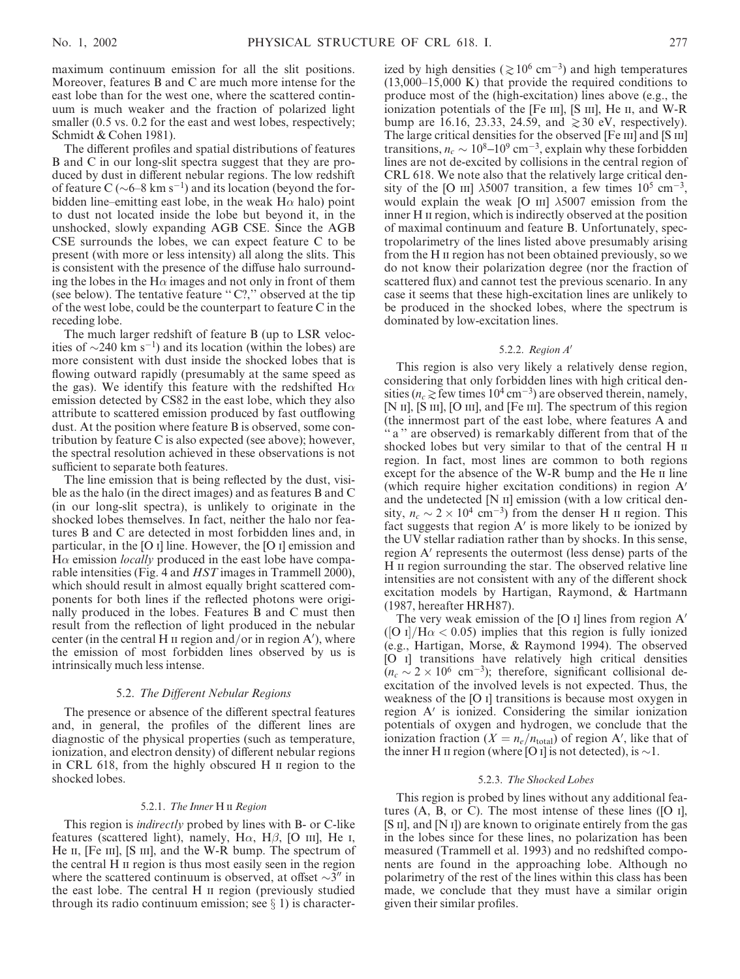maximum continuum emission for all the slit positions. Moreover, features B and C are much more intense for the east lobe than for the west one, where the scattered continuum is much weaker and the fraction of polarized light smaller  $(0.5 \text{ vs. } 0.2 \text{ for the east and west lobes, respectively};$ Schmidt & Cohen 1981).

The different profiles and spatial distributions of features B and C in our long-slit spectra suggest that they are produced by dust in different nebular regions. The low redshift of feature C ( $\sim$ 6–8 km s<sup>-1</sup>) and its location (beyond the forbidden line–emitting east lobe, in the weak  $H\alpha$  halo) point to dust not located inside the lobe but beyond it, in the unshocked, slowly expanding AGB CSE. Since the AGB CSE surrounds the lobes, we can expect feature C to be present (with more or less intensity) all along the slits. This is consistent with the presence of the diffuse halo surrounding the lobes in the H $\alpha$  images and not only in front of them (see below). The tentative feature " $C$ ?," observed at the tip of the west lobe, could be the counterpart to feature C in the receding lobe.

The much larger redshift of feature B (up to LSR velocities of  $\sim$ 240 km s<sup>-1</sup>) and its location (within the lobes) are more consistent with dust inside the shocked lobes that is flowing outward rapidly (presumably at the same speed as the gas). We identify this feature with the redshifted  $H\alpha$ emission detected by CS82 in the east lobe, which they also attribute to scattered emission produced by fast outflowing dust. At the position where feature B is observed, some contribution by feature C is also expected (see above); however, the spectral resolution achieved in these observations is not sufficient to separate both features.

The line emission that is being reflected by the dust, visible as the halo (in the direct images) and as features B and C (in our long-slit spectra), is unlikely to originate in the shocked lobes themselves. In fact, neither the halo nor features B and C are detected in most forbidden lines and, in particular, in the [O i] line. However, the [O i] emission and  $H\alpha$  emission *locally* produced in the east lobe have comparable intensities (Fig. 4 and *HST* images in Trammell 2000), which should result in almost equally bright scattered components for both lines if the reflected photons were originally produced in the lobes. Features B and C must then result from the reflection of light produced in the nebular center (in the central H  $\scriptstyle\rm II$  region and/or in region A'), where the emission of most forbidden lines observed by us is intrinsically much less intense.

### 5.2. The Different Nebular Regions

The presence or absence of the different spectral features and, in general, the profiles of the different lines are diagnostic of the physical properties (such as temperature, ionization, and electron density) of different nebular regions in CRL 618, from the highly obscured H ii region to the shocked lobes.

### 5.2.1. The Inner H II Region

This region is *indirectly* probed by lines with B- or C-like features (scattered light), namely,  $H\alpha$ ,  $H\beta$ , [O iii], He i, He II, [Fe III], [S III], and the W-R bump. The spectrum of the central H ii region is thus most easily seen in the region where the scattered continuum is observed, at offset  $\sim$ 3<sup>*n*</sup> in the east lobe. The central H ii region (previously studied through its radio continuum emission; see  $\S$  1) is characterized by high densities ( $\gtrsim 10^6$  cm<sup>-3</sup>) and high temperatures (13,000–15,000 K) that provide the required conditions to produce most of the (high-excitation) lines above (e.g., the ionization potentials of the [Fe  $\text{III}$ ], [S  $\text{III}$ ], He  $\text{II}$ , and W-R bump are 16.16, 23.33, 24.59, and  $\geq 30$  eV, respectively). The large critical densities for the observed [Fe III] and [S III] transitions,  $n_c \sim 10^8 - 10^9$  cm<sup>-3</sup>, explain why these forbidden lines are not de-excited by collisions in the central region of CRL 618. We note also that the relatively large critical density of the [O III]  $\lambda$ 5007 transition, a few times 10<sup>5</sup> cm<sup>-3</sup>, would explain the weak [O  $\text{III}$ ]  $\lambda$ 5007 emission from the inner H II region, which is indirectly observed at the position of maximal continuum and feature B. Unfortunately, spectropolarimetry of the lines listed above presumably arising from the H ii region has not been obtained previously, so we do not know their polarization degree (nor the fraction of scattered flux) and cannot test the previous scenario. In any case it seems that these high-excitation lines are unlikely to be produced in the shocked lobes, where the spectrum is dominated by low-excitation lines.

# 5.2.2. Region A'

This region is also very likely a relatively dense region, considering that only forbidden lines with high critical densities ( $n_c \gtrsim$  few times 10<sup>4</sup> cm<sup>-3</sup>) are observed therein, namely, [N II], [S III], [O III], and [Fe III]. The spectrum of this region (the innermost part of the east lobe, where features A and " a " are observed) is remarkably different from that of the shocked lobes but very similar to that of the central H  $\scriptstyle\rm II$ region. In fact, most lines are common to both regions except for the absence of the W-R bump and the He II line (which require higher excitation conditions) in region  $A'$ and the undetected  $[N \nI]$  emission (with a low critical density,  $n_c \sim 2 \times 10^4 \text{ cm}^{-3}$  from the denser H  $\text{II}$  region. This fact suggests that region  $A'$  is more likely to be ionized by the UV stellar radiation rather than by shocks. In this sense, region A' represents the outermost (less dense) parts of the H II region surrounding the star. The observed relative line intensities are not consistent with any of the different shock excitation models by Hartigan, Raymond, & Hartmann (1987, hereafter HRH87).

The very weak emission of the [O i] lines from region  $A'$ ([O i]/H $\alpha$  < 0.05) implies that this region is fully ionized (e.g., Hartigan, Morse, & Raymond 1994). The observed [O i] transitions have relatively high critical densities  $(n_c \sim 2 \times 10^6 \text{ cm}^{-3})$ ; therefore, significant collisional deexcitation of the involved levels is not expected. Thus, the weakness of the [O i] transitions is because most oxygen in region  $A'$  is ionized. Considering the similar ionization potentials of oxygen and hydrogen, we conclude that the ionization fraction ( $X = n_e/n_{total}$ ) of region A', like that of the inner H  $\pi$  region (where [O  $\pi$ ] is not detected), is  $\sim$  1.

#### 5.2.3. The Shocked Lobes

This region is probed by lines without any additional features  $(A, B, or C)$ . The most intense of these lines  $([O I],$ [S II], and [N I]) are known to originate entirely from the gas in the lobes since for these lines, no polarization has been measured (Trammell et al. 1993) and no redshifted components are found in the approaching lobe. Although no polarimetry of the rest of the lines within this class has been made, we conclude that they must have a similar origin given their similar profiles.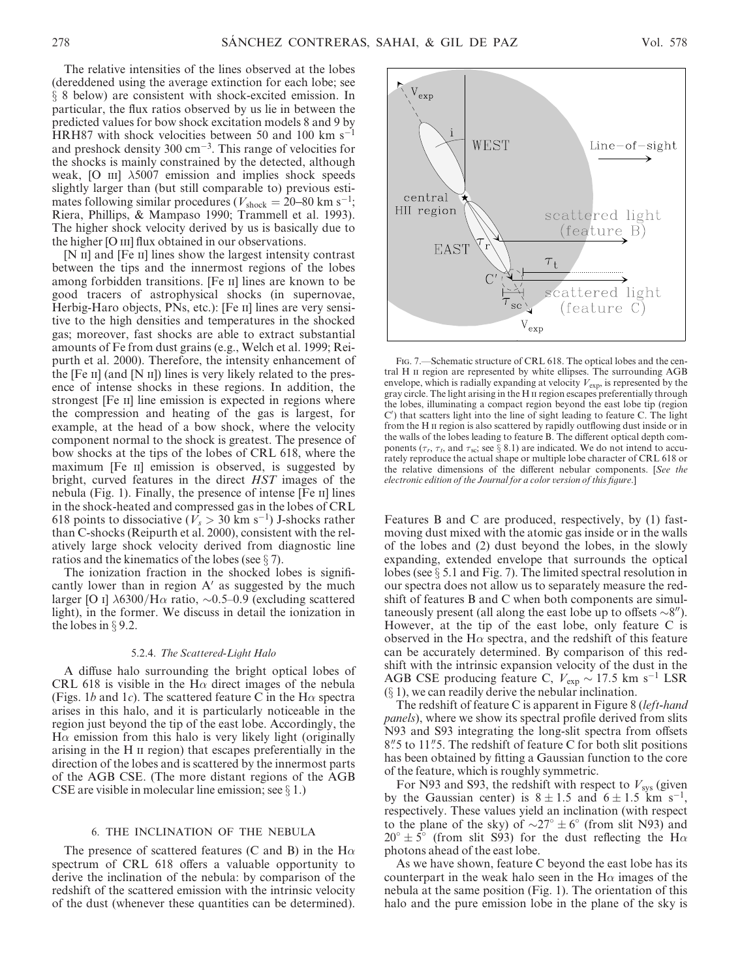The relative intensities of the lines observed at the lobes (dereddened using the average extinction for each lobe; see  $\S$  8 below) are consistent with shock-excited emission. In particular, the flux ratios observed by us lie in between the predicted values for bow shock excitation models 8 and 9 by HRH87 with shock velocities between 50 and 100 km  $s^{-1}$ and preshock density  $300 \text{ cm}^{-3}$ . This range of velocities for the shocks is mainly constrained by the detected, although weak, [O  $\text{III}$ ]  $\lambda$ 5007 emission and implies shock speeds slightly larger than (but still comparable to) previous estimates following similar procedures ( $V_{\text{shock}} = 20{\text -}80 \text{ km s}^{-1}$ ; Riera, Phillips, & Mampaso 1990; Trammell et al. 1993). The higher shock velocity derived by us is basically due to the higher [O III] flux obtained in our observations.

[N II] and [Fe II] lines show the largest intensity contrast between the tips and the innermost regions of the lobes among forbidden transitions. [Fe II] lines are known to be good tracers of astrophysical shocks (in supernovae, Herbig-Haro objects, PNs, etc.): [Fe II] lines are very sensitive to the high densities and temperatures in the shocked gas; moreover, fast shocks are able to extract substantial amounts of Fe from dust grains (e.g., Welch et al. 1999; Reipurth et al. 2000). Therefore, the intensity enhancement of the  $[Fe II]$  (and  $[N II]$ ) lines is very likely related to the presence of intense shocks in these regions. In addition, the strongest [Fe II] line emission is expected in regions where the compression and heating of the gas is largest, for example, at the head of a bow shock, where the velocity component normal to the shock is greatest. The presence of bow shocks at the tips of the lobes of CRL 618, where the maximum [Fe II] emission is observed, is suggested by bright, curved features in the direct HST images of the nebula (Fig. 1). Finally, the presence of intense [Fe ii] lines in the shock-heated and compressed gas in the lobes of CRL 618 points to dissociative ( $V_s > 30$  km s<sup>-1</sup>) J-shocks rather than C-shocks (Reipurth et al. 2000), consistent with the relatively large shock velocity derived from diagnostic line ratios and the kinematics of the lobes (see  $\S$  7).

The ionization fraction in the shocked lobes is significantly lower than in region  $A'$  as suggested by the much larger [O I]  $\lambda$ 6300/H $\alpha$  ratio, ~0.5–0.9 (excluding scattered light), in the former. We discuss in detail the ionization in the lobes in  $\S$  9.2.

#### 5.2.4. The Scattered-Light Halo

A diffuse halo surrounding the bright optical lobes of CRL 618 is visible in the H $\alpha$  direct images of the nebula (Figs. 1b and 1c). The scattered feature C in the H $\alpha$  spectra arises in this halo, and it is particularly noticeable in the region just beyond the tip of the east lobe. Accordingly, the  $H\alpha$  emission from this halo is very likely light (originally arising in the H ii region) that escapes preferentially in the direction of the lobes and is scattered by the innermost parts of the AGB CSE. (The more distant regions of the AGB CSE are visible in molecular line emission; see  $\S 1$ .)

# 6. THE INCLINATION OF THE NEBULA

The presence of scattered features (C and B) in the H $\alpha$ spectrum of CRL 618 offers a valuable opportunity to derive the inclination of the nebula: by comparison of the redshift of the scattered emission with the intrinsic velocity of the dust (whenever these quantities can be determined).



Fig. 7.—Schematic structure of CRL 618. The optical lobes and the central H  $\scriptstyle\rm II$  region are represented by white ellipses. The surrounding AGB envelope, which is radially expanding at velocity  $V_{\text{exp}}$ , is represented by the gray circle. The light arising in the H II region escapes preferentially through the lobes, illuminating a compact region beyond the east lobe tip (region C') that scatters light into the line of sight leading to feature C. The light from the H II region is also scattered by rapidly outflowing dust inside or in the walls of the lobes leading to feature B. The different optical depth components ( $\tau_r$ ,  $\tau_t$ , and  $\tau_{sc}$ ; see § 8.1) are indicated. We do not intend to accurately reproduce the actual shape or multiple lobe character of CRL 618 or the relative dimensions of the different nebular components. [See the electronic edition of the Journal for a color version of this figure.]

Features B and C are produced, respectively, by (1) fastmoving dust mixed with the atomic gas inside or in the walls of the lobes and (2) dust beyond the lobes, in the slowly expanding, extended envelope that surrounds the optical lobes (see  $\S 5.1$  and Fig. 7). The limited spectral resolution in our spectra does not allow us to separately measure the redshift of features B and C when both components are simultaneously present (all along the east lobe up to offsets  $\sim 8^{\prime\prime}$ ). However, at the tip of the east lobe, only feature C is observed in the H $\alpha$  spectra, and the redshift of this feature can be accurately determined. By comparison of this redshift with the intrinsic expansion velocity of the dust in the AGB CSE producing feature C,  $V_{\text{exp}} \sim 17.5 \text{ km s}^{-1} \text{ LSR}$  $(\S 1)$ , we can readily derive the nebular inclination.

The redshift of feature C is apparent in Figure 8 (*left-hand* panels), where we show its spectral profile derived from slits N93 and S93 integrating the long-slit spectra from offsets 8.5 to 11.5. The redshift of feature C for both slit positions has been obtained by fitting a Gaussian function to the core of the feature, which is roughly symmetric.

For N93 and S93, the redshift with respect to  $V_{\text{sys}}$  (given by the Gaussian center) is  $8 \pm 1.5$  and  $6 \pm 1.5$  km s<sup>-1</sup>, respectively. These values yield an inclination (with respect to the plane of the sky) of  $\sim 27^\circ \pm 6^\circ$  (from slit N93) and  $20^{\circ} \pm 5^{\circ}$  (from slit S93) for the dust reflecting the H $\alpha$ photons ahead of the east lobe.

As we have shown, feature C beyond the east lobe has its counterpart in the weak halo seen in the  $H\alpha$  images of the nebula at the same position (Fig. 1). The orientation of this halo and the pure emission lobe in the plane of the sky is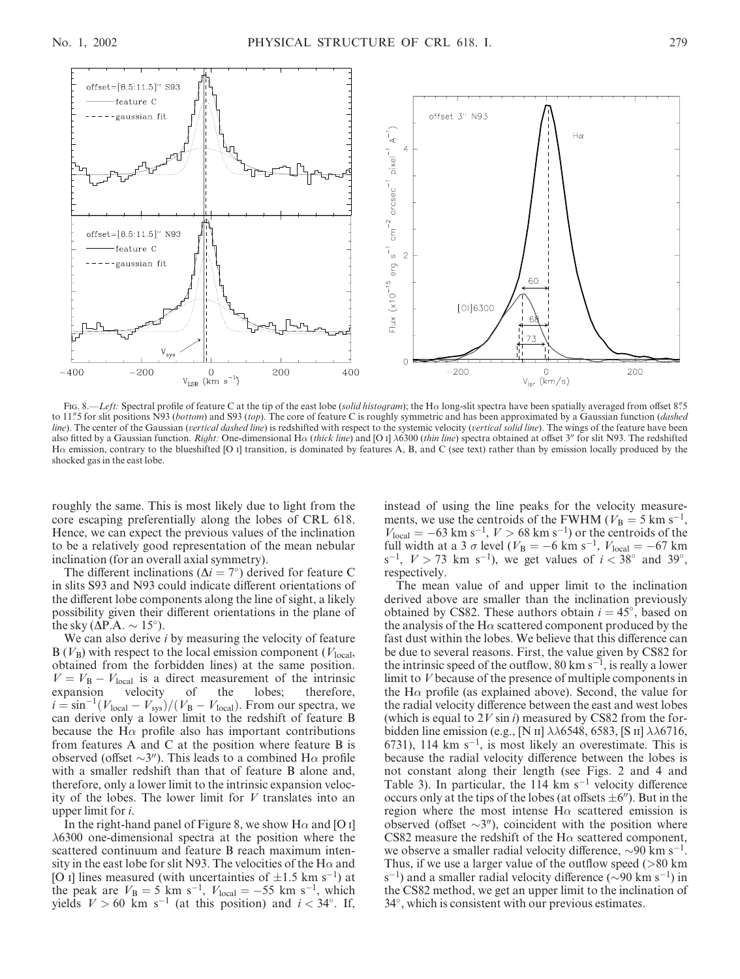

Fig. 8.—Left: Spectral profile of feature C at the tip of the east lobe (solid histogram); the Ha long-slit spectra have been spatially averaged from offset 8"5 to 11"5 for slit positions N93 (bottom) and S93 (top). The core of feature C is roughly symmetric and has been approximated by a Gaussian function (dashed line). The center of the Gaussian (vertical dashed line) is redshifted with respect to the systemic velocity (vertical solid line). The wings of the feature have been also fitted by a Gaussian function. Right: One-dimensional H $\alpha$  (thick line) and [O i]  $\lambda$ 6300 (thin line) spectra obtained at offset 3" for slit N93. The redshifted H $\alpha$  emission, contrary to the blueshifted [O i] transition, is dominated by features A, B, and C (see text) rather than by emission locally produced by the shocked gas in the east lobe.

roughly the same. This is most likely due to light from the core escaping preferentially along the lobes of CRL 618. Hence, we can expect the previous values of the inclination to be a relatively good representation of the mean nebular inclination (for an overall axial symmetry).

The different inclinations ( $\Delta i = 7^{\circ}$ ) derived for feature C in slits S93 and N93 could indicate different orientations of the different lobe components along the line of sight, a likely possibility given their different orientations in the plane of the sky ( $\Delta P.A. \sim 15^{\circ}$ ).

We can also derive *i* by measuring the velocity of feature  $B(V_B)$  with respect to the local emission component ( $V_{local}$ , obtained from the forbidden lines) at the same position.  $V = V_{\rm B} - V_{\rm local}$  is a direct measurement of the intrinsic expansion velocity of the lobes; therefore,  $i = \sin^{-1}(V_{\text{local}} - V_{\text{sys}})/(V_{\text{B}} - V_{\text{local}})$ . From our spectra, we can derive only a lower limit to the redshift of feature B because the H $\alpha$  profile also has important contributions from features A and C at the position where feature B is observed (offset  $\sim$ 3"). This leads to a combined H $\alpha$  profile with a smaller redshift than that of feature B alone and, therefore, only a lower limit to the intrinsic expansion velocity of the lobes. The lower limit for V translates into an upper limit for i.

In the right-hand panel of Figure 8, we show H $\alpha$  and [O i]  $\lambda$ 6300 one-dimensional spectra at the position where the scattered continuum and feature B reach maximum intensity in the east lobe for slit N93. The velocities of the H $\alpha$  and [O i] lines measured (with uncertainties of  $\pm 1.5$  km s<sup>-1</sup>) at the peak are  $V_B = 5$  km s<sup>-1</sup>,  $V_{\text{local}} = -55$  km s<sup>-1</sup>, which yields  $V > 60$  km s<sup>-1</sup> (at this position) and  $i < 34^{\circ}$ . If,

instead of using the line peaks for the velocity measurements, we use the centroids of the FWHM ( $V_B = 5$  km s<sup>-1</sup>,  $V_{\text{local}} = -63 \text{ km s}^{-1}$ ,  $V > 68 \text{ km s}^{-1}$  or the centroids of the full width at a 3  $\sigma$  level ( $V_{\rm B} = -6$  km s<sup>-1</sup>,  $V_{\rm local} = -67$  km  $s^{-1}$ ,  $V > 73$  km  $s^{-1}$ ), we get values of  $i < 38^{\circ}$  and  $39^{\circ}$ , respectively.

The mean value of and upper limit to the inclination derived above are smaller than the inclination previously obtained by CS82. These authors obtain  $i = 45^{\circ}$ , based on the analysis of the H $\alpha$  scattered component produced by the fast dust within the lobes. We believe that this difference can be due to several reasons. First, the value given by CS82 for the intrinsic speed of the outflow, 80 km  $s^{-1}$ , is really a lower limit to V because of the presence of multiple components in the H $\alpha$  profile (as explained above). Second, the value for the radial velocity difference between the east and west lobes (which is equal to  $2V \sin i$ ) measured by CS82 from the forbidden line emission (e.g., [N II]  $\lambda\lambda$ 6548, 6583, [S II]  $\lambda\lambda$ 6716, 6731), 114 km  $s^{-1}$ , is most likely an overestimate. This is because the radial velocity difference between the lobes is not constant along their length (see Figs. 2 and 4 and Table 3). In particular, the  $114 \text{ km s}^{-1}$  velocity difference occurs only at the tips of the lobes (at offsets  $\pm 6$ "). But in the region where the most intense  $H\alpha$  scattered emission is observed (offset  $\sim$ 3"), coincident with the position where CS82 measure the redshift of the H $\alpha$  scattered component, we observe a smaller radial velocity difference,  $\sim 90$  km s<sup>-1</sup>. Thus, if we use a larger value of the outflow speed (>80 km  $s^{-1}$ ) and a smaller radial velocity difference ( $\sim$ 90 km s<sup>-1</sup>) in the CS82 method, we get an upper limit to the inclination of 34 , which is consistent with our previous estimates.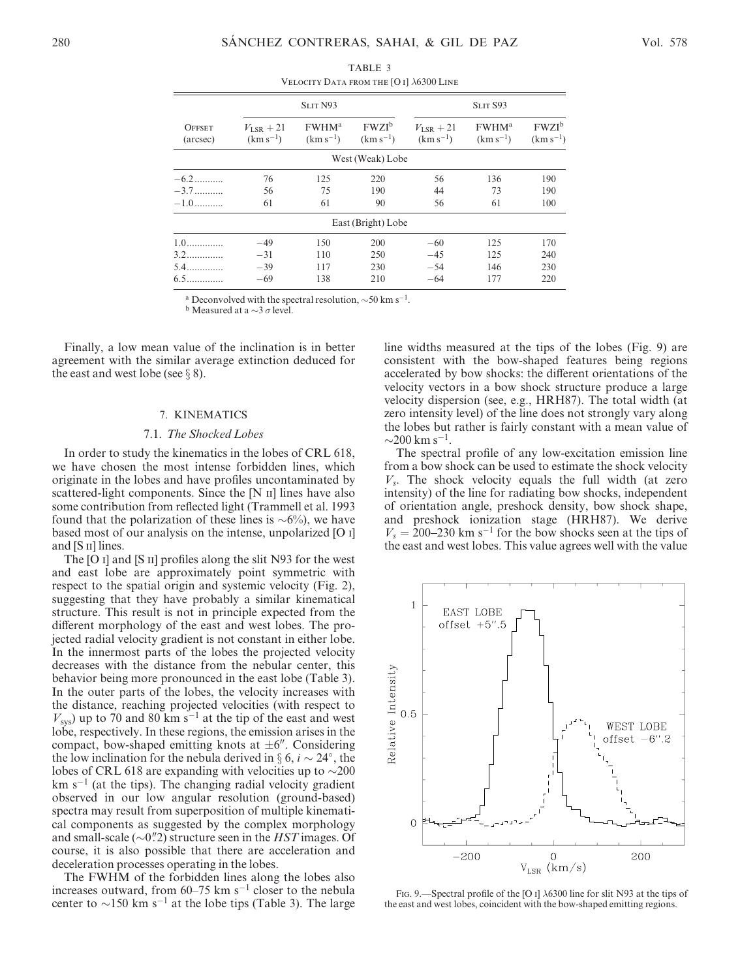|                           | SLIT <sub>N93</sub>             |                                           | SLIT S93                  |                                      |                                           |                           |
|---------------------------|---------------------------------|-------------------------------------------|---------------------------|--------------------------------------|-------------------------------------------|---------------------------|
| <b>OFFSET</b><br>(arcsec) | $V_{LSR}$ + 21<br>$(km s^{-1})$ | <b>FWHM</b> <sup>a</sup><br>$(km s^{-1})$ | $FWZI^b$<br>$(km s^{-1})$ | $V_{\text{ISR}}+21$<br>$(km s^{-1})$ | <b>FWHM</b> <sup>a</sup><br>$(km s^{-1})$ | $FWZI^b$<br>$(km s^{-1})$ |
|                           |                                 |                                           | West (Weak) Lobe          |                                      |                                           |                           |
| $-6.2$                    | 76                              | 125                                       | 220                       | 56                                   | 136                                       | 190                       |
| $-3.7$                    | 56                              | 75                                        | 190                       | 44                                   | 73                                        | 190                       |
| $-1.0$                    | 61                              | 61                                        | 90                        | 56                                   | 61                                        | 100                       |
|                           |                                 |                                           | East (Bright) Lobe        |                                      |                                           |                           |
| $1.0$                     | $-49$                           | 150                                       | 200                       | $-60$                                | 125                                       | 170                       |
| $3.2$                     | $-31$                           | 110                                       | 250                       | $-45$                                | 125                                       | 240                       |
| $5.4$                     | $-39$                           | 117                                       | 230                       | $-54$                                | 146                                       | 230                       |
| $6.5$                     | $-69$                           | 138                                       | 210                       | $-64$                                | 177                                       | 220                       |

TABLE 3 VELOCITY DATA FROM THE  $[O I]$   $\lambda$ 6300 LINE

<sup>a</sup> Deconvolved with the spectral resolution,  $\sim$  50 km s<sup>-1</sup>.

**b** Measured at a  $\sim$ 3  $\sigma$  level.

Finally, a low mean value of the inclination is in better agreement with the similar average extinction deduced for the east and west lobe (see  $\S$  8).

# 7. KINEMATICS

# 7.1. The Shocked Lobes

In order to study the kinematics in the lobes of CRL 618, we have chosen the most intense forbidden lines, which originate in the lobes and have profiles uncontaminated by scattered-light components. Since the  $[N \text{ II}]$  lines have also some contribution from reflected light (Trammell et al. 1993 found that the polarization of these lines is  $\sim 6\%$ ), we have based most of our analysis on the intense, unpolarized [O i] and  $[S \text{II}]$  lines.

The [O i] and [S ii] profiles along the slit N93 for the west and east lobe are approximately point symmetric with respect to the spatial origin and systemic velocity (Fig. 2), suggesting that they have probably a similar kinematical structure. This result is not in principle expected from the different morphology of the east and west lobes. The projected radial velocity gradient is not constant in either lobe. In the innermost parts of the lobes the projected velocity decreases with the distance from the nebular center, this behavior being more pronounced in the east lobe (Table 3). In the outer parts of the lobes, the velocity increases with the distance, reaching projected velocities (with respect to  $V_{\text{sys}}$ ) up to 70 and 80 km s<sup>-1</sup> at the tip of the east and west lobe, respectively. In these regions, the emission arises in the compact, bow-shaped emitting knots at  $\pm 6$ ". Considering the low inclination for the nebula derived in  $\S 6$ ,  $i \sim 24^{\circ}$ , the lobes of CRL 618 are expanding with velocities up to  $\sim$ 200  $km s<sup>-1</sup>$  (at the tips). The changing radial velocity gradient observed in our low angular resolution (ground-based) spectra may result from superposition of multiple kinematical components as suggested by the complex morphology and small-scale ( $\sim 0\rlap{.}^{\prime\prime}$ ) structure seen in the HST images. Of course, it is also possible that there are acceleration and deceleration processes operating in the lobes.

The FWHM of the forbidden lines along the lobes also increases outward, from  $60-75$  km s<sup>-1</sup> closer to the nebula center to  $\sim$ 150 km s<sup>-1</sup> at the lobe tips (Table 3). The large line widths measured at the tips of the lobes (Fig. 9) are consistent with the bow-shaped features being regions accelerated by bow shocks: the different orientations of the velocity vectors in a bow shock structure produce a large velocity dispersion (see, e.g., HRH87). The total width (at zero intensity level) of the line does not strongly vary along the lobes but rather is fairly constant with a mean value of  $\sim$ 200 km s<sup>-1</sup>.

The spectral profile of any low-excitation emission line from a bow shock can be used to estimate the shock velocity  $V_s$ . The shock velocity equals the full width (at zero intensity) of the line for radiating bow shocks, independent of orientation angle, preshock density, bow shock shape, and preshock ionization stage (HRH87). We derive  $V_s = 200-230$  km s<sup>-1</sup> for the bow shocks seen at the tips of the east and west lobes. This value agrees well with the value



FIG. 9.—Spectral profile of the [O I]  $\lambda$ 6300 line for slit N93 at the tips of the east and west lobes, coincident with the bow-shaped emitting regions.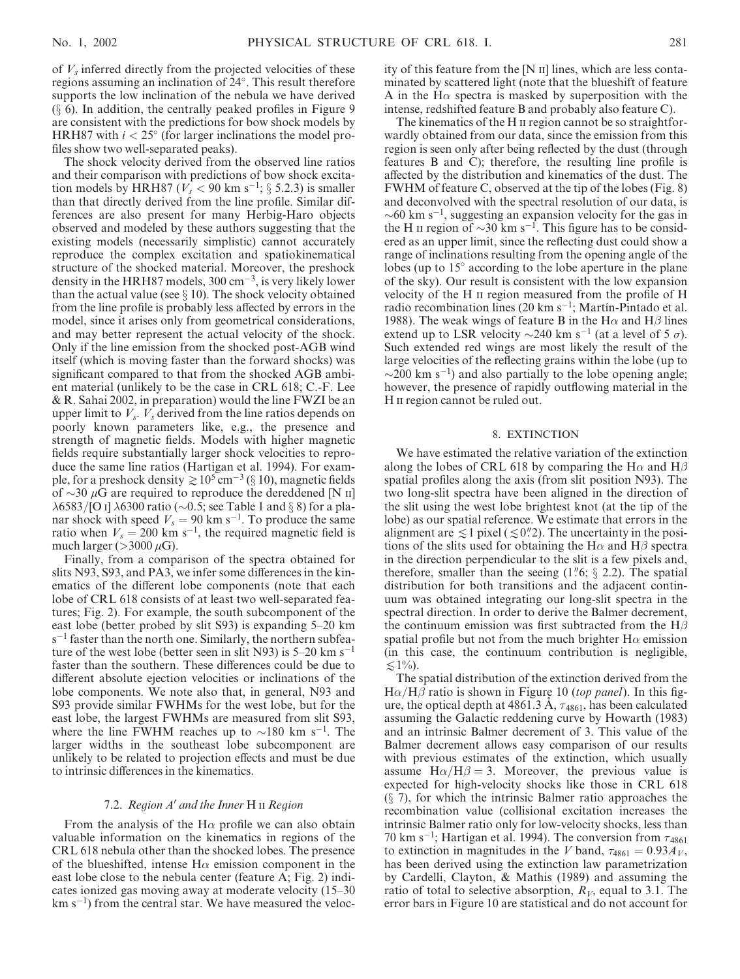of  $V_s$  inferred directly from the projected velocities of these regions assuming an inclination of 24 . This result therefore supports the low inclination of the nebula we have derived  $(\S 6)$ . In addition, the centrally peaked profiles in Figure 9 are consistent with the predictions for bow shock models by HRH87 with  $i < 25^{\circ}$  (for larger inclinations the model profiles show two well-separated peaks).

The shock velocity derived from the observed line ratios and their comparison with predictions of bow shock excitation models by HRH87 ( $V_s$  < 90 km s<sup>-1</sup>; § 5.2.3) is smaller than that directly derived from the line profile. Similar differences are also present for many Herbig-Haro objects observed and modeled by these authors suggesting that the existing models (necessarily simplistic) cannot accurately reproduce the complex excitation and spatiokinematical structure of the shocked material. Moreover, the preshock density in the HRH87 models,  $300 \text{ cm}^{-3}$ , is very likely lower than the actual value (see  $\S 10$ ). The shock velocity obtained from the line profile is probably less affected by errors in the model, since it arises only from geometrical considerations, and may better represent the actual velocity of the shock. Only if the line emission from the shocked post-AGB wind itself (which is moving faster than the forward shocks) was significant compared to that from the shocked AGB ambient material (unlikely to be the case in CRL 618; C.-F. Lee & R. Sahai 2002, in preparation) would the line FWZI be an upper limit to  $V_s$ .  $V_s$  derived from the line ratios depends on poorly known parameters like, e.g., the presence and strength of magnetic fields. Models with higher magnetic fields require substantially larger shock velocities to reproduce the same line ratios (Hartigan et al. 1994). For example, for a preshock density  $\gtrsim 10^5$  cm<sup>-3</sup> (§ 10), magnetic fields of  $\sim$ 30  $\mu$ G are required to reproduce the dereddened [N II]  $\lambda$ 6583/[O I]  $\lambda$ 6300 ratio (~0.5; see Table 1 and § 8) for a planar shock with speed  $V_s = 90$  km s<sup>-1</sup>. To produce the same ratio when  $V_s = 200$  km s<sup>-1</sup>, the required magnetic field is much larger ( $>$ 3000  $\mu$ G).

Finally, from a comparison of the spectra obtained for slits N93, S93, and PA3, we infer some differences in the kinematics of the different lobe components (note that each lobe of CRL 618 consists of at least two well-separated features; Fig. 2). For example, the south subcomponent of the east lobe (better probed by slit S93) is expanding 5–20 km  $s^{-1}$  faster than the north one. Similarly, the northern subfeature of the west lobe (better seen in slit N93) is  $5-20 \text{ km s}^{-1}$ faster than the southern. These differences could be due to different absolute ejection velocities or inclinations of the lobe components. We note also that, in general, N93 and S93 provide similar FWHMs for the west lobe, but for the east lobe, the largest FWHMs are measured from slit S93, where the line FWHM reaches up to  $\sim$ 180 km s<sup>-1</sup>. The larger widths in the southeast lobe subcomponent are unlikely to be related to projection effects and must be due to intrinsic differences in the kinematics.

### 7.2. Region  $A'$  and the Inner H  $\scriptstyle\rm II$  Region

From the analysis of the H $\alpha$  profile we can also obtain valuable information on the kinematics in regions of the CRL 618 nebula other than the shocked lobes. The presence of the blueshifted, intense  $H\alpha$  emission component in the east lobe close to the nebula center (feature A; Fig. 2) indicates ionized gas moving away at moderate velocity (15–30  $km s^{-1}$ ) from the central star. We have measured the velocity of this feature from the  $[N II]$  lines, which are less contaminated by scattered light (note that the blueshift of feature A in the H $\alpha$  spectra is masked by superposition with the intense, redshifted feature B and probably also feature C).

The kinematics of the H  $\scriptstyle\rm II$  region cannot be so straightforwardly obtained from our data, since the emission from this region is seen only after being reflected by the dust (through features B and C); therefore, the resulting line profile is affected by the distribution and kinematics of the dust. The FWHM of feature C, observed at the tip of the lobes (Fig. 8) and deconvolved with the spectral resolution of our data, is  $\sim$  60 km s<sup>-1</sup>, suggesting an expansion velocity for the gas in the H II region of  $\sim$ 30 km s<sup>-1</sup>. This figure has to be considered as an upper limit, since the reflecting dust could show a range of inclinations resulting from the opening angle of the lobes (up to  $15^\circ$  according to the lobe aperture in the plane of the sky). Our result is consistent with the low expansion velocity of the H ii region measured from the profile of H radio recombination lines (20 km s<sup>-1</sup>; Martin-Pintado et al. 1988). The weak wings of feature B in the H $\alpha$  and H $\beta$  lines extend up to LSR velocity  $\sim$ 240 km s<sup>-1</sup> (at a level of 5  $\sigma$ ). Such extended red wings are most likely the result of the large velocities of the reflecting grains within the lobe (up to  $\sim$ 200 km s<sup>-1</sup>) and also partially to the lobe opening angle; however, the presence of rapidly outflowing material in the H II region cannot be ruled out.

### 8. EXTINCTION

We have estimated the relative variation of the extinction along the lobes of CRL 618 by comparing the H $\alpha$  and H $\beta$ spatial profiles along the axis (from slit position N93). The two long-slit spectra have been aligned in the direction of the slit using the west lobe brightest knot (at the tip of the lobe) as our spatial reference. We estimate that errors in the alignment are  $\leq 1$  pixel ( $\leq 0$ ."2). The uncertainty in the positions of the slits used for obtaining the H $\alpha$  and H $\beta$  spectra in the direction perpendicular to the slit is a few pixels and, therefore, smaller than the seeing  $(1\rlap.{''}6; \S 2.2)$ . The spatial distribution for both transitions and the adjacent continuum was obtained integrating our long-slit spectra in the spectral direction. In order to derive the Balmer decrement, the continuum emission was first subtracted from the  $H\beta$ spatial profile but not from the much brighter  $H\alpha$  emission (in this case, the continuum contribution is negligible,  $\leq 1\%$ ).

The spatial distribution of the extinction derived from the  $H\alpha/H\beta$  ratio is shown in Figure 10 (top panel). In this figure, the optical depth at 4861.3 A,  $\tau_{4861}$ , has been calculated assuming the Galactic reddening curve by Howarth (1983) and an intrinsic Balmer decrement of 3. This value of the Balmer decrement allows easy comparison of our results with previous estimates of the extinction, which usually assume  $H\alpha/H\beta = 3$ . Moreover, the previous value is expected for high-velocity shocks like those in CRL 618  $(\S$  7), for which the intrinsic Balmer ratio approaches the recombination value (collisional excitation increases the intrinsic Balmer ratio only for low-velocity shocks, less than 70 km s<sup>-1</sup>; Hartigan et al. 1994). The conversion from  $\tau_{4861}$ to extinction in magnitudes in the V band,  $\tau_{4861} = 0.93 A_V$ , has been derived using the extinction law parametrization by Cardelli, Clayton, & Mathis (1989) and assuming the ratio of total to selective absorption,  $R_V$ , equal to 3.1. The error bars in Figure 10 are statistical and do not account for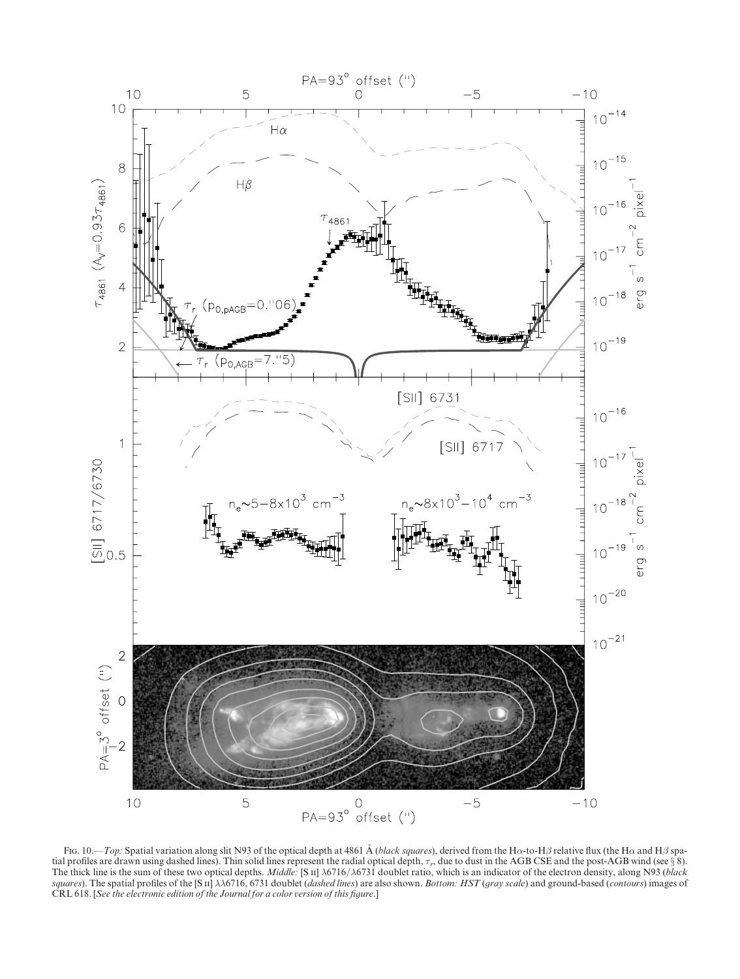

Fig. 10.—*Top*: Spatial variation along slit N93 of the optical depth at 4861 Å (black squares), derived from the H $\alpha$ -to-H $\beta$  relative flux (the H $\alpha$  and H $\beta$  spatial profiles are drawn using dashed lines). Thin solid lines represent the radial optical depth,  $\tau_r$ , due to dust in the AGB CSE and the post-AGB wind (see  $\S$ 8). The thick line is the sum of these two optical depths. *Middle:* [S ii]  $\lambda$ 6716/ $\lambda$ 6731 doublet ratio, which is an indicator of the electron density, along N93 (black squares). The spatial profiles of the [S ii]  $\lambda\lambda$ 6716, 6731 doublet (dashed lines) are also shown. Bottom: HST (gray scale) and ground-based (contours) images of CRL 618. [See the electronic edition of the Journal for a color version of this figure.]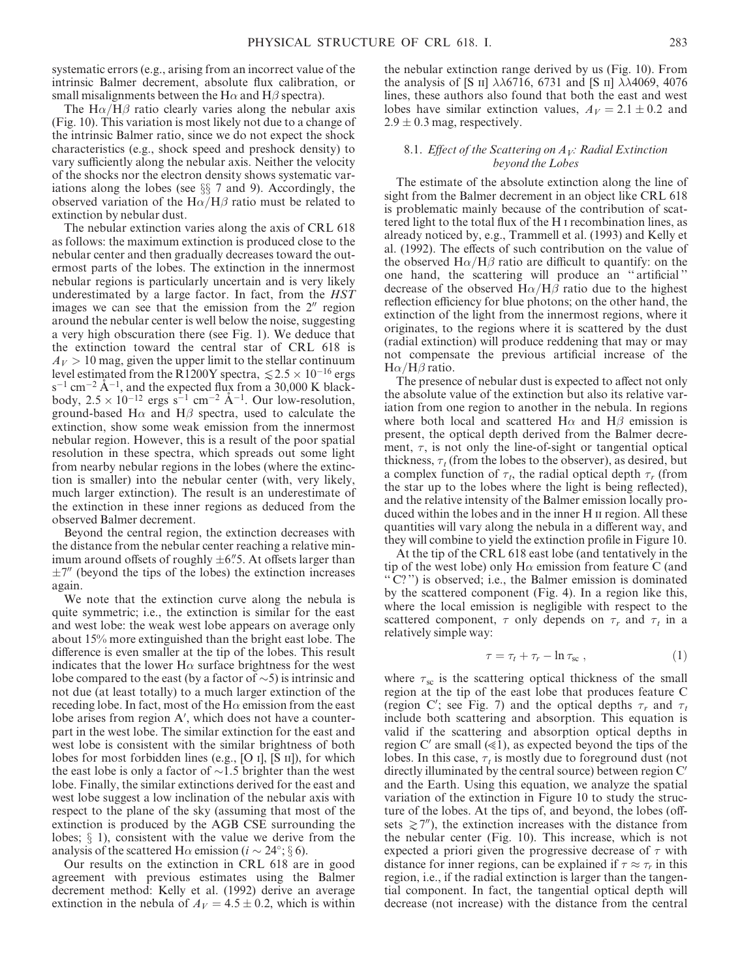systematic errors (e.g., arising from an incorrect value of the intrinsic Balmer decrement, absolute flux calibration, or small misalignments between the H $\alpha$  and H $\beta$  spectra).

The  $H\alpha/H\beta$  ratio clearly varies along the nebular axis (Fig. 10). This variation is most likely not due to a change of the intrinsic Balmer ratio, since we do not expect the shock characteristics (e.g., shock speed and preshock density) to vary sufficiently along the nebular axis. Neither the velocity of the shocks nor the electron density shows systematic variations along the lobes (see  $\S$  7 and 9). Accordingly, the observed variation of the H $\alpha$ /H $\beta$  ratio must be related to extinction by nebular dust.

The nebular extinction varies along the axis of CRL 618 as follows: the maximum extinction is produced close to the nebular center and then gradually decreases toward the outermost parts of the lobes. The extinction in the innermost nebular regions is particularly uncertain and is very likely underestimated by a large factor. In fact, from the HST images we can see that the emission from the  $2<sup>''</sup>$  region around the nebular center is well below the noise, suggesting a very high obscuration there (see Fig. 1). We deduce that the extinction toward the central star of CRL 618 is  $A_V > 10$  mag, given the upper limit to the stellar continuum level estimated from the R1200Y spectra,  $\le 2.5 \times 10^{-16}$  ergs  $s^{-1}$  cm<sup>-2</sup> Å<sup>-1</sup>, and the expected flux from a 30,000 K blackbody,  $2.5 \times 10^{-12}$  ergs s<sup>-1</sup> cm<sup>-2</sup> Å<sup>-1</sup>. Our low-resolution, ground-based H $\alpha$  and H $\beta$  spectra, used to calculate the extinction, show some weak emission from the innermost nebular region. However, this is a result of the poor spatial resolution in these spectra, which spreads out some light from nearby nebular regions in the lobes (where the extinction is smaller) into the nebular center (with, very likely, much larger extinction). The result is an underestimate of the extinction in these inner regions as deduced from the observed Balmer decrement.

Beyond the central region, the extinction decreases with the distance from the nebular center reaching a relative minimum around offsets of roughly  $\pm 6\rlap{.}''5.$  At offsets larger than  $\pm$ 7" (beyond the tips of the lobes) the extinction increases again.

We note that the extinction curve along the nebula is quite symmetric; i.e., the extinction is similar for the east and west lobe: the weak west lobe appears on average only about 15% more extinguished than the bright east lobe. The difference is even smaller at the tip of the lobes. This result indicates that the lower  $H\alpha$  surface brightness for the west lobe compared to the east (by a factor of  $\sim$ 5) is intrinsic and not due (at least totally) to a much larger extinction of the receding lobe. In fact, most of the  $H\alpha$  emission from the east lobe arises from region A', which does not have a counterpart in the west lobe. The similar extinction for the east and west lobe is consistent with the similar brightness of both lobes for most forbidden lines (e.g., [O i], [S ii]), for which the east lobe is only a factor of  $\sim$ 1.5 brighter than the west lobe. Finally, the similar extinctions derived for the east and west lobe suggest a low inclination of the nebular axis with respect to the plane of the sky (assuming that most of the extinction is produced by the AGB CSE surrounding the lobes;  $\S$  1), consistent with the value we derive from the analysis of the scattered H $\alpha$  emission ( $i \sim 24^{\circ}$ ; § 6).

Our results on the extinction in CRL 618 are in good agreement with previous estimates using the Balmer decrement method: Kelly et al. (1992) derive an average extinction in the nebula of  $A_V = 4.5 \pm 0.2$ , which is within

the nebular extinction range derived by us (Fig. 10). From the analysis of [S II]  $\lambda\lambda$ 6716, 6731 and [S II]  $\lambda\lambda$ 4069, 4076 lines, these authors also found that both the east and west lobes have similar extinction values,  $A_V = 2.1 \pm 0.2$  and  $2.9 \pm 0.3$  mag, respectively.

### 8.1. Effect of the Scattering on  $A_V$ : Radial Extinction beyond the Lobes

The estimate of the absolute extinction along the line of sight from the Balmer decrement in an object like CRL 618 is problematic mainly because of the contribution of scattered light to the total flux of the H i recombination lines, as already noticed by, e.g., Trammell et al. (1993) and Kelly et al. (1992). The effects of such contribution on the value of the observed  $H\alpha/H\beta$  ratio are difficult to quantify: on the one hand, the scattering will produce an '' artificial '' decrease of the observed  $H\alpha/H\beta$  ratio due to the highest reflection efficiency for blue photons; on the other hand, the extinction of the light from the innermost regions, where it originates, to the regions where it is scattered by the dust (radial extinction) will produce reddening that may or may not compensate the previous artificial increase of the  $H\alpha/H\beta$  ratio.

The presence of nebular dust is expected to affect not only the absolute value of the extinction but also its relative variation from one region to another in the nebula. In regions where both local and scattered  $H\alpha$  and  $H\beta$  emission is present, the optical depth derived from the Balmer decrement,  $\tau$ , is not only the line-of-sight or tangential optical thickness,  $\tau_t$  (from the lobes to the observer), as desired, but a complex function of  $\tau_t$ , the radial optical depth  $\tau_r$  (from the star up to the lobes where the light is being reflected), and the relative intensity of the Balmer emission locally produced within the lobes and in the inner H ii region. All these quantities will vary along the nebula in a different way, and they will combine to yield the extinction profile in Figure 10.

At the tip of the CRL 618 east lobe (and tentatively in the tip of the west lobe) only  $H\alpha$  emission from feature C (and  $\cdot \cdot \overline{C}$ ?") is observed; i.e., the Balmer emission is dominated by the scattered component (Fig. 4). In a region like this, where the local emission is negligible with respect to the scattered component,  $\tau$  only depends on  $\tau_r$  and  $\tau_t$  in a relatively simple way:

$$
\tau = \tau_t + \tau_r - \ln \tau_{\rm sc} \,, \tag{1}
$$

where  $\tau_{\rm sc}$  is the scattering optical thickness of the small region at the tip of the east lobe that produces feature C (region C'; see Fig. 7) and the optical depths  $\tau_r$  and  $\tau_t$ include both scattering and absorption. This equation is valid if the scattering and absorption optical depths in region C' are small  $(\leq 1)$ , as expected beyond the tips of the lobes. In this case,  $\tau_t$  is mostly due to foreground dust (not directly illuminated by the central source) between region  $C'$ and the Earth. Using this equation, we analyze the spatial variation of the extinction in Figure 10 to study the structure of the lobes. At the tips of, and beyond, the lobes (offsets  $\geq 7$ <sup>n</sup>), the extinction increases with the distance from the nebular center (Fig. 10). This increase, which is not expected a priori given the progressive decrease of  $\tau$  with distance for inner regions, can be explained if  $\tau \approx \tau_r$  in this region, i.e., if the radial extinction is larger than the tangential component. In fact, the tangential optical depth will decrease (not increase) with the distance from the central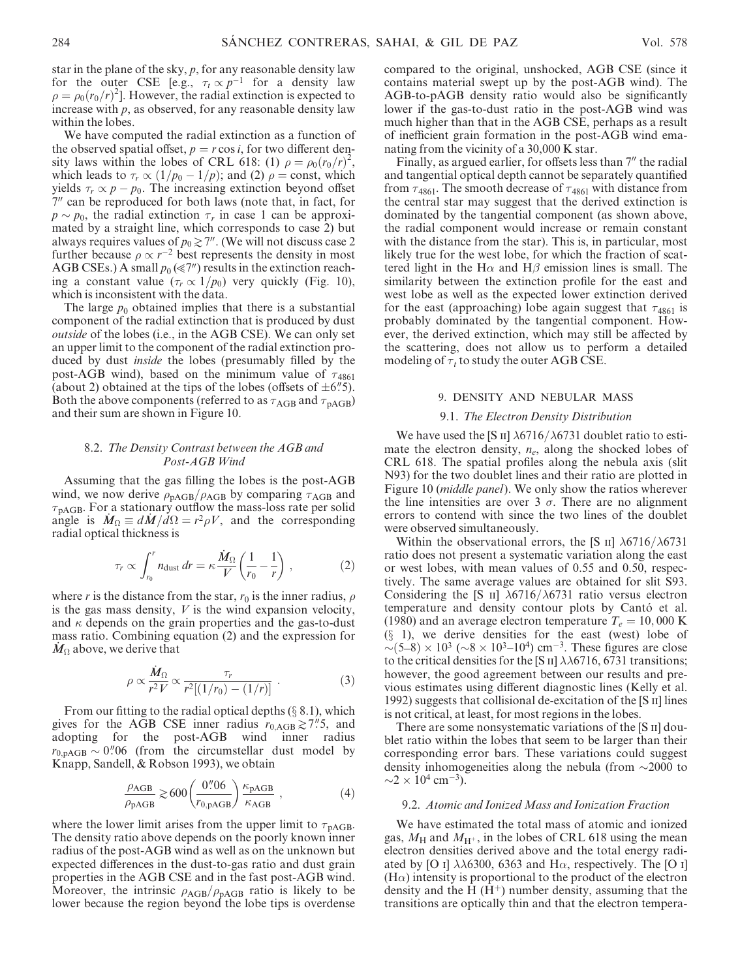star in the plane of the sky,  $p$ , for any reasonable density law for the outer CSE [e.g.,  $\tau_t \propto p^{-1}$  for a density law  $\rho = \rho_0 (r_0/r)^2$ . However, the radial extinction is expected to increase with  $p$ , as observed, for any reasonable density law within the lobes.

We have computed the radial extinction as a function of the observed spatial offset,  $p = r \cos i$ , for two different density laws within the lobes of CRL 618: (1)  $\rho = \rho_0 (r_0/r)^2$ , which leads to  $\tau_r \propto (1/p_0 - 1/p)$ ; and (2)  $\rho = \text{const}$ , which yields  $\tau_r \propto p - p_0$ . The increasing extinction beyond offset  $7<sup>1</sup>$  can be reproduced for both laws (note that, in fact, for  $p \sim p_0$ , the radial extinction  $\tau_r$  in case 1 can be approximated by a straight line, which corresponds to case 2) but always requires values of  $p_0 \geq 7$ ". (We will not discuss case 2 further because  $\rho \propto r^{-2}$  best represents the density in most AGB CSEs.) A small  $p_0 (\ll 7<sup>n</sup>)$  results in the extinction reaching a constant value  $(\tau_r \propto 1/p_0)$  very quickly (Fig. 10), which is inconsistent with the data.

The large  $p_0$  obtained implies that there is a substantial component of the radial extinction that is produced by dust outside of the lobes (i.e., in the AGB CSE). We can only set an upper limit to the component of the radial extinction produced by dust inside the lobes (presumably filled by the post-AGB wind), based on the minimum value of  $\tau_{4861}$ (about 2) obtained at the tips of the lobes (offsets of  $\pm 6\rlap{.}^{\prime\prime}5$ ). Both the above components (referred to as  $\tau_{\rm AGB}$  and  $\tau_{\rm pAGB}$ ) and their sum are shown in Figure 10.

# 8.2. The Density Contrast between the AGB and Post-AGB Wind

Assuming that the gas filling the lobes is the post-AGB wind, we now derive  $\rho_{\text{pAGB}}/\rho_{\text{AGB}}$  by comparing  $\tau_{\text{AGB}}$  and  $\tau_{\text{pAGB}}$ . For a stationary outflow the mass-loss rate per solid angle is  $\dot{M}_\Omega \equiv d\dot{M}/d\Omega = r^2 \rho V$ , and the corresponding radial optical thickness is

$$
\tau_r \propto \int_{r_0}^r n_{\text{dust}} \, dr = \kappa \frac{\dot{M}_{\Omega}}{V} \left( \frac{1}{r_0} - \frac{1}{r} \right) \,, \tag{2}
$$

where r is the distance from the star,  $r_0$  is the inner radius,  $\rho$ is the gas mass density,  $V$  is the wind expansion velocity, and  $\kappa$  depends on the grain properties and the gas-to-dust mass ratio. Combining equation (2) and the expression for  $M_\Omega$  above, we derive that

$$
\rho \propto \frac{\dot{M}_{\Omega}}{r^2 V} \propto \frac{\tau_r}{r^2 [(1/r_0) - (1/r)]} \ . \tag{3}
$$

From our fitting to the radial optical depths  $(\S 8.1)$ , which gives for the AGB CSE inner radius  $r_{0,\text{AGB}} \gtrsim 7\rlap{.}^{\prime\prime}5$ , and adopting for the post-AGB wind inner radius  $r_{0,\text{pAGB}} \sim 0\rlap{.}^{\prime\prime}06$  (from the circumstellar dust model by Knapp, Sandell, & Robson 1993), we obtain

$$
\frac{\rho_{\text{AGB}}}{\rho_{\text{pAGB}}} \gtrsim 600 \left( \frac{0\text{''06}}{r_{0,\text{pAGB}}} \right) \frac{\kappa_{\text{pAGB}}}{\kappa_{\text{AGB}}} ,\qquad (4)
$$

where the lower limit arises from the upper limit to  $\tau_{\text{pAGB}}$ . The density ratio above depends on the poorly known inner radius of the post-AGB wind as well as on the unknown but expected differences in the dust-to-gas ratio and dust grain properties in the AGB CSE and in the fast post-AGB wind. Moreover, the intrinsic  $\rho_{AGB}/\rho_{pAGB}$  ratio is likely to be lower because the region beyond the lobe tips is overdense compared to the original, unshocked, AGB CSE (since it contains material swept up by the post-AGB wind). The AGB-to-pAGB density ratio would also be significantly lower if the gas-to-dust ratio in the post-AGB wind was much higher than that in the AGB CSE, perhaps as a result of inefficient grain formation in the post-AGB wind emanating from the vicinity of a 30,000 K star.

Finally, as argued earlier, for offsets less than 7" the radial and tangential optical depth cannot be separately quantified from  $\tau_{4861}$ . The smooth decrease of  $\tau_{4861}$  with distance from the central star may suggest that the derived extinction is dominated by the tangential component (as shown above, the radial component would increase or remain constant with the distance from the star). This is, in particular, most likely true for the west lobe, for which the fraction of scattered light in the H $\alpha$  and H $\beta$  emission lines is small. The similarity between the extinction profile for the east and west lobe as well as the expected lower extinction derived for the east (approaching) lobe again suggest that  $\tau_{4861}$  is probably dominated by the tangential component. However, the derived extinction, which may still be affected by the scattering, does not allow us to perform a detailed modeling of  $\tau_t$  to study the outer AGB CSE.

# 9. DENSITY AND NEBULAR MASS

#### 9.1. The Electron Density Distribution

We have used the [S II]  $\lambda$ 6716/ $\lambda$ 6731 doublet ratio to estimate the electron density,  $n_e$ , along the shocked lobes of CRL 618. The spatial profiles along the nebula axis (slit N93) for the two doublet lines and their ratio are plotted in Figure 10 (middle panel). We only show the ratios wherever the line intensities are over 3  $\sigma$ . There are no alignment errors to contend with since the two lines of the doublet were observed simultaneously.

Within the observational errors, the [S  $\text{II}$ ]  $\lambda$ 6716/ $\lambda$ 6731 ratio does not present a systematic variation along the east or west lobes, with mean values of 0.55 and 0.50, respectively. The same average values are obtained for slit S93. Considering the [S II]  $\lambda$ 6716/ $\lambda$ 6731 ratio versus electron temperature and density contour plots by Cantó et al. (1980) and an average electron temperature  $T_e = 10,000 \text{ K}$  $(\S$  1), we derive densities for the east (west) lobe of  $\sim (5-8) \times 10^3$  ( $\sim 8 \times 10^3$ –10<sup>4</sup>) cm<sup>-3</sup>. These figures are close to the critical densities for the [S II]  $\lambda\lambda$ 6716, 6731 transitions; however, the good agreement between our results and previous estimates using different diagnostic lines (Kelly et al. 1992) suggests that collisional de-excitation of the [S ii] lines is not critical, at least, for most regions in the lobes.

There are some nonsystematic variations of the [S II] doublet ratio within the lobes that seem to be larger than their corresponding error bars. These variations could suggest density inhomogeneities along the nebula (from  $\sim$ 2000 to  $\sim$ 2  $\times$  10<sup>4</sup> cm<sup>-3</sup>).

# 9.2. Atomic and Ionized Mass and Ionization Fraction

We have estimated the total mass of atomic and ionized gas,  $M_H$  and  $M_{H^+}$ , in the lobes of CRL 618 using the mean electron densities derived above and the total energy radiated by [O i]  $\lambda\lambda$ 6300, 6363 and H $\alpha$ , respectively. The [O i]  $(H\alpha)$  intensity is proportional to the product of the electron density and the H  $(H<sup>+</sup>)$  number density, assuming that the transitions are optically thin and that the electron tempera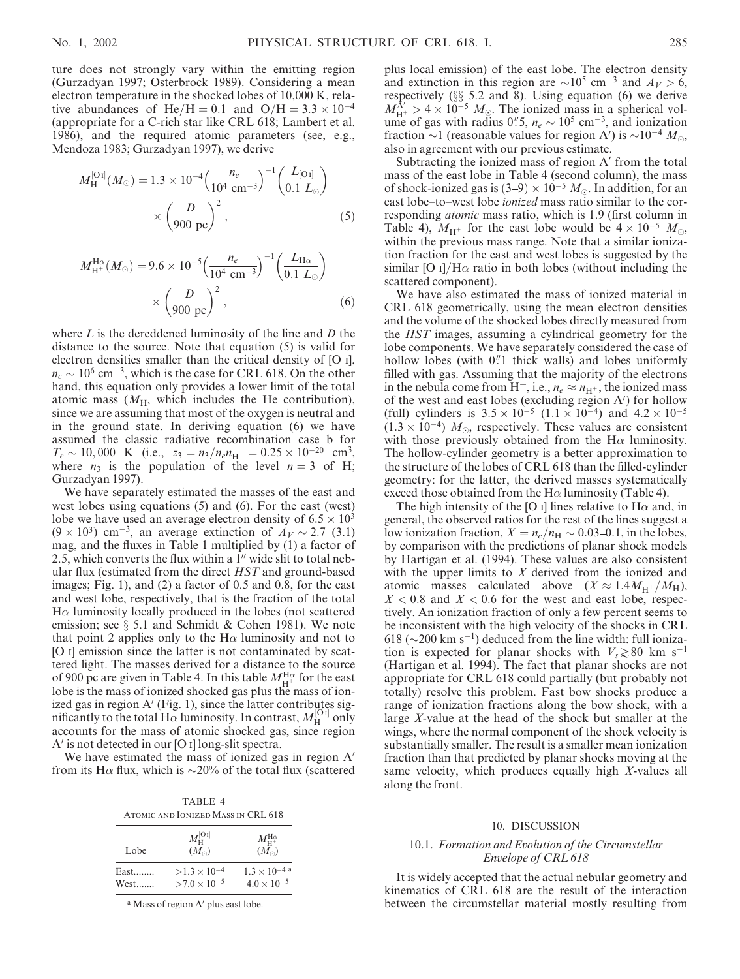ture does not strongly vary within the emitting region (Gurzadyan 1997; Osterbrock 1989). Considering a mean electron temperature in the shocked lobes of 10,000 K, relative abundances of He/H = 0.1 and O/H =  $3.3 \times 10^{-4}$ (appropriate for a C-rich star like CRL 618; Lambert et al. 1986), and the required atomic parameters (see, e.g., Mendoza 1983; Gurzadyan 1997), we derive

$$
M_{\rm H}^{\left[O_{1}\right]}(M_{\odot}) = 1.3 \times 10^{-4} \left(\frac{n_{e}}{10^{4} \text{ cm}^{-3}}\right)^{-1} \left(\frac{L_{\left[O_{1}\right]}}{0.1 \ L_{\odot}}\right) \times \left(\frac{D}{900 \text{ pc}}\right)^{2},\tag{5}
$$

$$
M_{\rm H^{+}}^{\rm H\alpha}(M_{\odot}) = 9.6 \times 10^{-5} \left(\frac{n_e}{10^4 \text{ cm}^{-3}}\right)^{-1} \left(\frac{L_{\rm H\alpha}}{0.1 \ L_{\odot}}\right) \times \left(\frac{D}{900 \text{ pc}}\right)^2, \tag{6}
$$

where  $L$  is the dereddened luminosity of the line and  $D$  the distance to the source. Note that equation (5) is valid for electron densities smaller than the critical density of [O i],  $n_c \sim 10^6$  cm<sup>-3</sup>, which is the case for CRL 618. On the other hand, this equation only provides a lower limit of the total atomic mass  $(M_H$ , which includes the He contribution), since we are assuming that most of the oxygen is neutral and in the ground state. In deriving equation (6) we have assumed the classic radiative recombination case b for  $T_e \sim 10,000 \text{ K}$  (i.e.,  $z_3 = n_3/n_e n_{\text{H}^+} = 0.25 \times 10^{-20} \text{ cm}^3$ , where  $n_3$  is the population of the level  $n = 3$  of H; Gurzadyan 1997).

We have separately estimated the masses of the east and west lobes using equations (5) and (6). For the east (west) lobe we have used an average electron density of  $6.5 \times 10^3$  $(9 \times 10^3)$  cm<sup>-3</sup>, an average extinction of  $A_V \sim 2.7$  (3.1) mag, and the fluxes in Table 1 multiplied by (1) a factor of 2.5, which converts the flux within a  $1<sup>u</sup>$  wide slit to total nebular flux (estimated from the direct HST and ground-based images; Fig. 1), and (2) a factor of 0.5 and 0.8, for the east and west lobe, respectively, that is the fraction of the total  $H\alpha$  luminosity locally produced in the lobes (not scattered emission; see  $\S$  5.1 and Schmidt & Cohen 1981). We note that point 2 applies only to the  $H\alpha$  luminosity and not to [O i] emission since the latter is not contaminated by scattered light. The masses derived for a distance to the source of 900 pc are given in Table 4. In this table  $M_{\text{H}^+}^{\text{H}\alpha}$  for the east lobe is the mass of ionized shocked gas plus the mass of ionized gas in region  $A'$  (Fig. 1), since the latter contributes significantly to the total  $H\alpha$  luminosity. In contrast,  $M_H^{[O_1]}$  only accounts for the mass of atomic shocked gas, since region  $A'$  is not detected in our [O I] long-slit spectra.

We have estimated the mass of ionized gas in region  $A'$ from its H $\alpha$  flux, which is  $\sim$ 20% of the total flux (scattered

TABLE 4 Atomic and Ionized Mass in CRL 618

| Lobe             | $M_{\rm H}^{\rm [O\,{\scriptscriptstyle I}]}$<br>$(M_{\odot})$ | $M_{\rm H^+}^{\rm H\alpha}$<br>$(M_{\odot})$   |
|------------------|----------------------------------------------------------------|------------------------------------------------|
| $East$<br>$West$ | $>1.3\times10^{-4}$<br>$>7.0 \times 10^{-5}$                   | $1.3 \times 10^{-4}$ a<br>$4.0 \times 10^{-5}$ |

<sup>a</sup> Mass of region A' plus east lobe.

plus local emission) of the east lobe. The electron density and extinction in this region are  $\sim 10^5$  cm<sup>-3</sup> and  $A_V > 6$ , respectively ( $\S$  5.2 and 8). Using equation (6) we derive  $M_{\text{H}^+}^{\text{A}'} > 4 \times 10^{-5}$   $M_{\odot}$ . The ionized mass in a spherical volume of gas with radius 0".5,  $n_e \sim 10^5$  cm<sup>-3</sup>, and ionization fraction  $\sim$ 1 (reasonable values for region A') is  $\sim$ 10<sup>-4</sup> M<sub> $\odot$ </sub>, also in agreement with our previous estimate.

Subtracting the ionized mass of region  $A'$  from the total mass of the east lobe in Table 4 (second column), the mass of shock-ionized gas is  $(3-9) \times 10^{-5}$  M<sub>o</sub>. In addition, for an east lobe–to–west lobe ionized mass ratio similar to the corresponding atomic mass ratio, which is 1.9 (first column in Table 4),  $M_{\text{H}^+}$  for the east lobe would be  $4 \times 10^{-5}$   $M_{\odot}$ , within the previous mass range. Note that a similar ionization fraction for the east and west lobes is suggested by the similar [O I]/H $\alpha$  ratio in both lobes (without including the scattered component).

We have also estimated the mass of ionized material in CRL 618 geometrically, using the mean electron densities and the volume of the shocked lobes directly measured from the HST images, assuming a cylindrical geometry for the lobe components. We have separately considered the case of hollow lobes (with  $0$ .<sup>n</sup>! thick walls) and lobes uniformly filled with gas. Assuming that the majority of the electrons in the nebula come from H<sup>+</sup>, i.e.,  $n_e \approx n_{\text{H}^+}$ , the ionized mass of the west and east lobes (excluding region A') for hollow (full) cylinders is  $3.5 \times 10^{-5}$   $(1.1 \times 10^{-4})$  and  $4.2 \times 10^{-5}$  $(1.3 \times 10^{-4})$  M<sub>o</sub>, respectively. These values are consistent with those previously obtained from the H $\alpha$  luminosity. The hollow-cylinder geometry is a better approximation to the structure of the lobes of CRL 618 than the filled-cylinder geometry: for the latter, the derived masses systematically exceed those obtained from the H $\alpha$  luminosity (Table 4).

The high intensity of the [O I] lines relative to  $H\alpha$  and, in general, the observed ratios for the rest of the lines suggest a low ionization fraction,  $X = n_e/n_H \sim 0.03{\text -}0.1$ , in the lobes, by comparison with the predictions of planar shock models by Hartigan et al. (1994). These values are also consistent with the upper limits to  $X$  derived from the ionized and atomic masses calculated above  $(X \approx 1.4M_{H^+}/M_H)$ ,  $X < 0.8$  and  $X < 0.6$  for the west and east lobe, respectively. An ionization fraction of only a few percent seems to be inconsistent with the high velocity of the shocks in CRL 618 ( $\sim$ 200 km s<sup>-1</sup>) deduced from the line width: full ionization is expected for planar shocks with  $V_s \gtrsim 80$  km s<sup>-1</sup> (Hartigan et al. 1994). The fact that planar shocks are not appropriate for CRL 618 could partially (but probably not totally) resolve this problem. Fast bow shocks produce a range of ionization fractions along the bow shock, with a large X-value at the head of the shock but smaller at the wings, where the normal component of the shock velocity is substantially smaller. The result is a smaller mean ionization fraction than that predicted by planar shocks moving at the same velocity, which produces equally high X-values all along the front.

# 10. DISCUSSION

# 10.1. Formation and Evolution of the Circumstellar Envelope of CRL 618

It is widely accepted that the actual nebular geometry and kinematics of CRL 618 are the result of the interaction between the circumstellar material mostly resulting from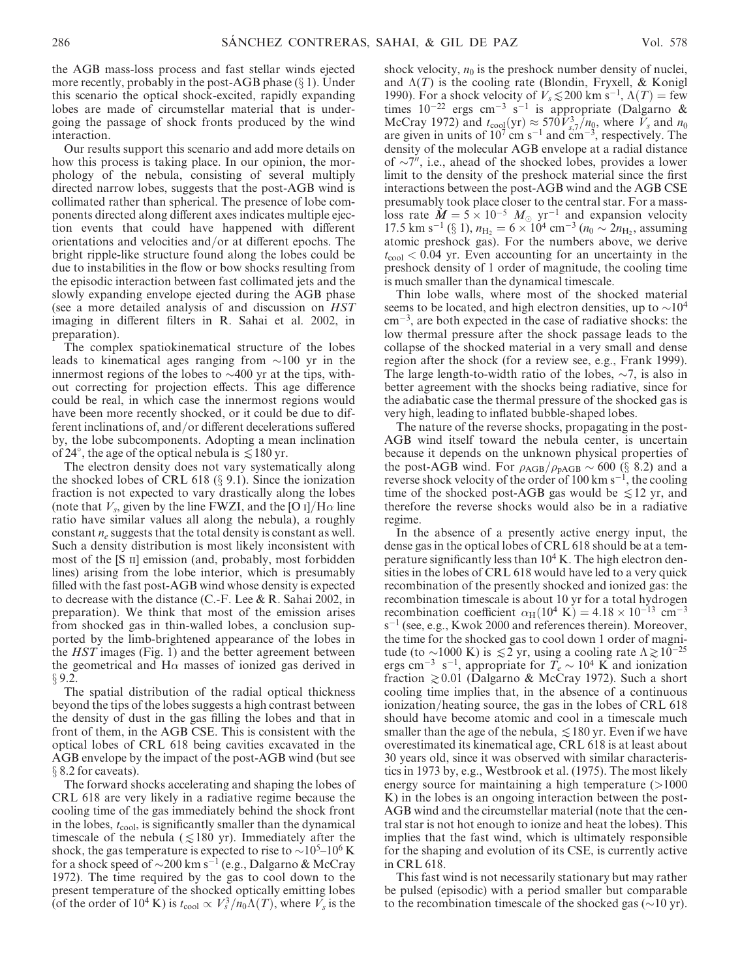the AGB mass-loss process and fast stellar winds ejected more recently, probably in the post-AGB phase  $(\S 1)$ . Under this scenario the optical shock-excited, rapidly expanding lobes are made of circumstellar material that is undergoing the passage of shock fronts produced by the wind interaction.

Our results support this scenario and add more details on how this process is taking place. In our opinion, the morphology of the nebula, consisting of several multiply directed narrow lobes, suggests that the post-AGB wind is collimated rather than spherical. The presence of lobe components directed along different axes indicates multiple ejection events that could have happened with different orientations and velocities and/or at different epochs. The bright ripple-like structure found along the lobes could be due to instabilities in the flow or bow shocks resulting from the episodic interaction between fast collimated jets and the slowly expanding envelope ejected during the AGB phase (see a more detailed analysis of and discussion on HST imaging in different filters in R. Sahai et al. 2002, in preparation).

The complex spatiokinematical structure of the lobes leads to kinematical ages ranging from  $\sim$ 100 yr in the innermost regions of the lobes to  $\sim$ 400 yr at the tips, without correcting for projection effects. This age difference could be real, in which case the innermost regions would have been more recently shocked, or it could be due to different inclinations of, and/or different decelerations suffered by, the lobe subcomponents. Adopting a mean inclination of 24°, the age of the optical nebula is  $\leq 180$  yr.

The electron density does not vary systematically along the shocked lobes of CRL 618 ( $\S$  9.1). Since the ionization fraction is not expected to vary drastically along the lobes (note that  $V_s$ , given by the line FWZI, and the [O I]/H $\alpha$  line ratio have similar values all along the nebula), a roughly constant  $n_e$  suggests that the total density is constant as well. Such a density distribution is most likely inconsistent with most of the [S II] emission (and, probably, most forbidden lines) arising from the lobe interior, which is presumably filled with the fast post-AGB wind whose density is expected to decrease with the distance (C.-F. Lee & R. Sahai 2002, in preparation). We think that most of the emission arises from shocked gas in thin-walled lobes, a conclusion supported by the limb-brightened appearance of the lobes in the HST images (Fig. 1) and the better agreement between the geometrical and  $H\alpha$  masses of ionized gas derived in  $§ 9.2.$ 

The spatial distribution of the radial optical thickness beyond the tips of the lobes suggests a high contrast between the density of dust in the gas filling the lobes and that in front of them, in the AGB CSE. This is consistent with the optical lobes of CRL 618 being cavities excavated in the AGB envelope by the impact of the post-AGB wind (but see  $\S$  8.2 for caveats).

The forward shocks accelerating and shaping the lobes of CRL 618 are very likely in a radiative regime because the cooling time of the gas immediately behind the shock front in the lobes,  $t_{\rm cool}$ , is significantly smaller than the dynamical timescale of the nebula ( $\leq 180$  yr). Immediately after the shock, the gas temperature is expected to rise to  $\sim 10^{5}$ – $10^{6}$  K for a shock speed of  $\sim$ 200 km s<sup>-1</sup> (e.g., Dalgarno & McCray 1972). The time required by the gas to cool down to the present temperature of the shocked optically emitting lobes (of the order of 10<sup>4</sup> K) is  $t_{\rm cool} \propto V_s^3/n_0 \Lambda(T)$ , where  $\overline{V}_s$  is the

shock velocity,  $n_0$  is the preshock number density of nuclei, and  $\Lambda(T)$  is the cooling rate (Blondin, Fryxell, & Konigl 1990). For a shock velocity of  $V_s \lesssim 200$  km s<sup>-1</sup>,  $\Lambda(T)$  = few times  $10^{-22}$  ergs cm<sup>-3</sup> s<sup>-1</sup> is appropriate (Dalgarno & McCray 1972) and  $t_{\text{cool}}(\text{yr}) \approx 570 V_{s,7}^3/n_0$ , where  $V_s$  and  $n_0$ are given in units of  $10^7$  cm s<sup>-1</sup> and cm<sup>-3</sup>, respectively. The density of the molecular AGB envelope at a radial distance of  $\sim$ 7", i.e., ahead of the shocked lobes, provides a lower limit to the density of the preshock material since the first interactions between the post-AGB wind and the AGB CSE presumably took place closer to the central star. For a massloss rate  $\dot{M} = 5 \times 10^{-5}$   $M_{\odot}$  yr<sup>-1</sup> and expansion velocity 17.5 km s<sup>-1</sup> (§ 1),  $n_{\text{H}_2} = 6 \times 10^4 \text{ cm}^{-3}$  ( $n_0 \sim 2n_{\text{H}_2}$ , assuming atomic preshock gas). For the numbers above, we derive  $t_{\text{cool}} < 0.04$  yr. Even accounting for an uncertainty in the preshock density of 1 order of magnitude, the cooling time is much smaller than the dynamical timescale.

Thin lobe walls, where most of the shocked material seems to be located, and high electron densities, up to  $\sim 10^4$  $\text{cm}^{-3}$ , are both expected in the case of radiative shocks: the low thermal pressure after the shock passage leads to the collapse of the shocked material in a very small and dense region after the shock (for a review see, e.g., Frank 1999). The large length-to-width ratio of the lobes,  $\sim$ 7, is also in better agreement with the shocks being radiative, since for the adiabatic case the thermal pressure of the shocked gas is very high, leading to inflated bubble-shaped lobes.

The nature of the reverse shocks, propagating in the post-AGB wind itself toward the nebula center, is uncertain because it depends on the unknown physical properties of the post-AGB wind. For  $\rho_{AGB}/\rho_{pAGB} \sim 600$  (§ 8.2) and a reverse shock velocity of the order of 100 km  $s^{-1}$ , the cooling time of the shocked post-AGB gas would be  $\leq 12$  yr, and therefore the reverse shocks would also be in a radiative regime.

In the absence of a presently active energy input, the dense gas in the optical lobes of CRL 618 should be at a temperature significantly less than  $10<sup>4</sup>$  K. The high electron densities in the lobes of CRL 618 would have led to a very quick recombination of the presently shocked and ionized gas: the recombination timescale is about 10 yr for a total hydrogen recombination coefficient  $\alpha_H(10^4 \text{ K}) = 4.18 \times 10^{-13} \text{ cm}^{-3}$  $s^{-1}$  (see, e.g., Kwok 2000 and references therein). Moreover, the time for the shocked gas to cool down 1 order of magnitude (to  $\sim$ 1000 K) is  $\leq$ 2 yr, using a cooling rate  $\Lambda \geq 10^{-25}$ ergs cm<sup>-3</sup> s<sup>-1</sup>, appropriate for  $T_e \sim 10^4$  K and ionization fraction  $\geq 0.01$  (Dalgarno & McCray 1972). Such a short cooling time implies that, in the absence of a continuous ionization/heating source, the gas in the lobes of CRL 618 should have become atomic and cool in a timescale much smaller than the age of the nebula,  $\leq 180$  yr. Even if we have overestimated its kinematical age, CRL 618 is at least about 30 years old, since it was observed with similar characteristics in 1973 by, e.g., Westbrook et al. (1975). The most likely energy source for maintaining a high temperature  $(>1000$ K) in the lobes is an ongoing interaction between the post-AGB wind and the circumstellar material (note that the central star is not hot enough to ionize and heat the lobes). This implies that the fast wind, which is ultimately responsible for the shaping and evolution of its CSE, is currently active in CRL 618.

This fast wind is not necessarily stationary but may rather be pulsed (episodic) with a period smaller but comparable to the recombination timescale of the shocked gas  $(\sim 10 \text{ yr})$ .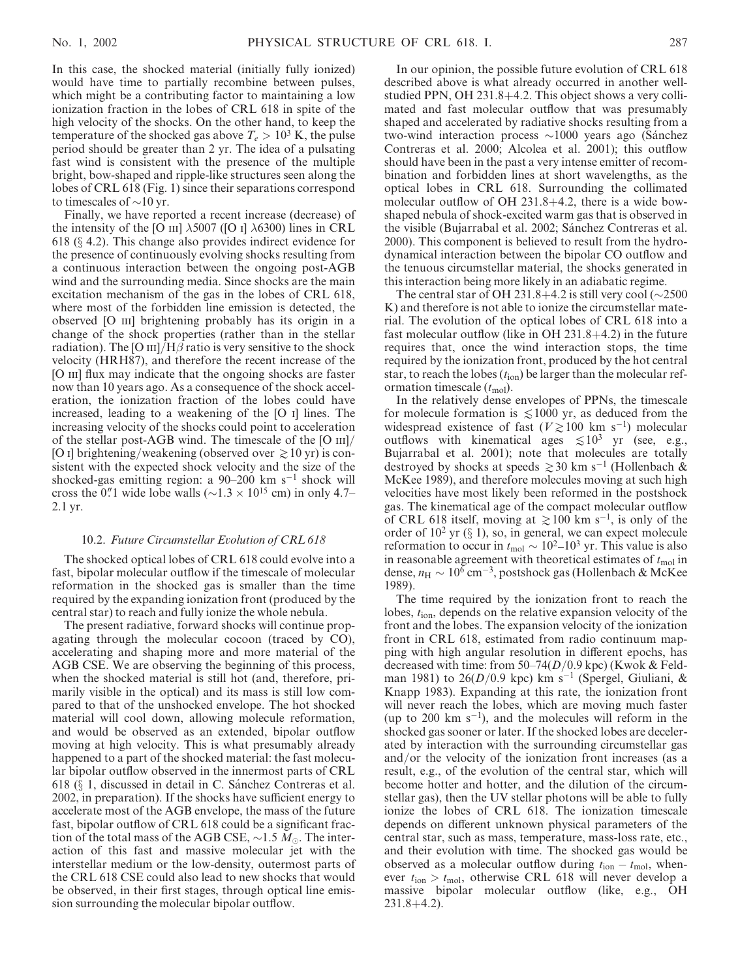In this case, the shocked material (initially fully ionized) would have time to partially recombine between pulses, which might be a contributing factor to maintaining a low ionization fraction in the lobes of CRL 618 in spite of the high velocity of the shocks. On the other hand, to keep the temperature of the shocked gas above  $T_e > 10^3$  K, the pulse period should be greater than 2 yr. The idea of a pulsating fast wind is consistent with the presence of the multiple bright, bow-shaped and ripple-like structures seen along the lobes of CRL 618 (Fig. 1) since their separations correspond to timescales of  $\sim$ 10 yr.

Finally, we have reported a recent increase (decrease) of the intensity of the [O  $\text{III}$ ]  $\lambda$ 5007 ([O  $\text{I}$ ]  $\lambda$ 6300) lines in CRL 618 ( $\S$  4.2). This change also provides indirect evidence for the presence of continuously evolving shocks resulting from a continuous interaction between the ongoing post-AGB wind and the surrounding media. Since shocks are the main excitation mechanism of the gas in the lobes of CRL 618, where most of the forbidden line emission is detected, the observed [O iii] brightening probably has its origin in a change of the shock properties (rather than in the stellar radiation). The [O  $\text{III}/\text{H}\beta$  ratio is very sensitive to the shock velocity (HRH87), and therefore the recent increase of the [O III] flux may indicate that the ongoing shocks are faster now than 10 years ago. As a consequence of the shock acceleration, the ionization fraction of the lobes could have increased, leading to a weakening of the [O i] lines. The increasing velocity of the shocks could point to acceleration of the stellar post-AGB wind. The timescale of the [O iii]/ [O I] brightening/weakening (observed over  $\gtrsim$  10 yr) is consistent with the expected shock velocity and the size of the shocked-gas emitting region: a  $90-200$  km s<sup>-1</sup> shock will cross the 0.'' wide lobe walls ( $\sim$ 1.3  $\times$  10<sup>15</sup> cm) in only 4.7– 2.1 yr.

#### 10.2. Future Circumstellar Evolution of CRL 618

The shocked optical lobes of CRL 618 could evolve into a fast, bipolar molecular outflow if the timescale of molecular reformation in the shocked gas is smaller than the time required by the expanding ionization front (produced by the central star) to reach and fully ionize the whole nebula.

The present radiative, forward shocks will continue propagating through the molecular cocoon (traced by CO), accelerating and shaping more and more material of the AGB CSE. We are observing the beginning of this process, when the shocked material is still hot (and, therefore, primarily visible in the optical) and its mass is still low compared to that of the unshocked envelope. The hot shocked material will cool down, allowing molecule reformation, and would be observed as an extended, bipolar outflow moving at high velocity. This is what presumably already happened to a part of the shocked material: the fast molecular bipolar outflow observed in the innermost parts of CRL 618 ( $\S$  1, discussed in detail in C. Sánchez Contreras et al. 2002, in preparation). If the shocks have sufficient energy to accelerate most of the AGB envelope, the mass of the future fast, bipolar outflow of CRL 618 could be a significant fraction of the total mass of the AGB CSE,  $\sim$ 1.5 M... The interaction of this fast and massive molecular jet with the interstellar medium or the low-density, outermost parts of the CRL 618 CSE could also lead to new shocks that would be observed, in their first stages, through optical line emission surrounding the molecular bipolar outflow.

In our opinion, the possible future evolution of CRL 618 described above is what already occurred in another wellstudied PPN, OH 231.8+4.2. This object shows a very collimated and fast molecular outflow that was presumably shaped and accelerated by radiative shocks resulting from a two-wind interaction process  $\sim$ 1000 years ago (Sánchez Contreras et al. 2000; Alcolea et al. 2001); this outflow should have been in the past a very intense emitter of recombination and forbidden lines at short wavelengths, as the optical lobes in CRL 618. Surrounding the collimated molecular outflow of OH 231.8+4.2, there is a wide bowshaped nebula of shock-excited warm gas that is observed in the visible (Bujarrabal et al. 2002; Sánchez Contreras et al. 2000). This component is believed to result from the hydrodynamical interaction between the bipolar CO outflow and the tenuous circumstellar material, the shocks generated in this interaction being more likely in an adiabatic regime.

The central star of OH 231.8+4.2 is still very cool  $(\sim 2500$ K) and therefore is not able to ionize the circumstellar material. The evolution of the optical lobes of CRL 618 into a fast molecular outflow (like in OH 231.8+4.2) in the future requires that, once the wind interaction stops, the time required by the ionization front, produced by the hot central star, to reach the lobes  $(t_{\text{ion}})$  be larger than the molecular reformation timescale  $(t_{\text{mol}})$ .

In the relatively dense envelopes of PPNs, the timescale for molecule formation is  $\leq 1000$  yr, as deduced from the widespread existence of fast ( $V \gtrsim 100$  km s<sup>-1</sup>) molecular outflows with kinematical ages  $\lesssim 10^3$  yr (see, e.g., Bujarrabal et al. 2001); note that molecules are totally destroyed by shocks at speeds  $\geq 30$  km s<sup>-1</sup> (Hollenbach & McKee 1989), and therefore molecules moving at such high velocities have most likely been reformed in the postshock gas. The kinematical age of the compact molecular outflow of CRL 618 itself, moving at  $\geq 100$  km s<sup>-1</sup>, is only of the order of  $10^2$  yr ( $\S$  1), so, in general, we can expect molecule reformation to occur in  $t_{\text{mol}} \sim 10^{2} - 10^{3}$  yr. This value is also in reasonable agreement with theoretical estimates of  $t_{\text{mol}}$  in dense,  $n_H \sim 10^6$  cm<sup>-3</sup>, postshock gas (Hollenbach & McKee 1989).

The time required by the ionization front to reach the lobes,  $t_{\text{ion}}$ , depends on the relative expansion velocity of the front and the lobes. The expansion velocity of the ionization front in CRL 618, estimated from radio continuum mapping with high angular resolution in different epochs, has decreased with time: from  $50-74(D/0.9 \text{ kpc})$  (Kwok & Feldman 1981) to 26( $D/0.9$  kpc) km s<sup>-1</sup> (Spergel, Giuliani, & Knapp 1983). Expanding at this rate, the ionization front will never reach the lobes, which are moving much faster (up to 200 km  $s^{-1}$ ), and the molecules will reform in the shocked gas sooner or later. If the shocked lobes are decelerated by interaction with the surrounding circumstellar gas and/or the velocity of the ionization front increases (as a result, e.g., of the evolution of the central star, which will become hotter and hotter, and the dilution of the circumstellar gas), then the UV stellar photons will be able to fully ionize the lobes of CRL 618. The ionization timescale depends on different unknown physical parameters of the central star, such as mass, temperature, mass-loss rate, etc., and their evolution with time. The shocked gas would be observed as a molecular outflow during  $t_{\text{ion}} - t_{\text{mol}}$ , whenever  $t_{\text{ion}} > t_{\text{mol}}$ , otherwise CRL 618 will never develop a massive bipolar molecular outflow (like, e.g., OH  $231.8+4.2$ .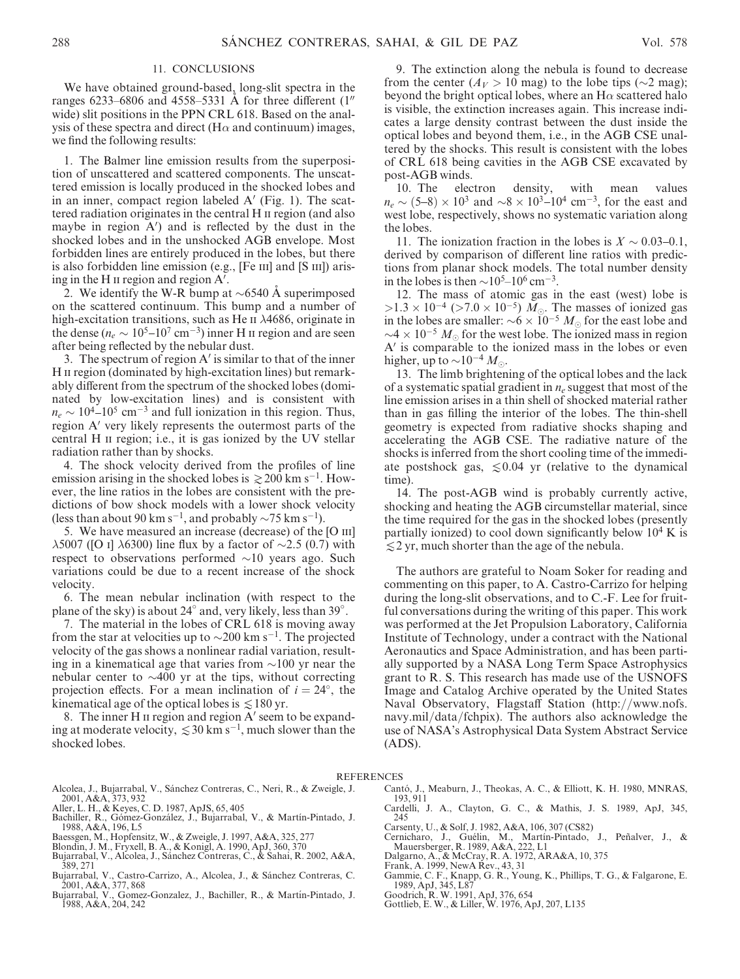#### 11. CONCLUSIONS

We have obtained ground-based, long-slit spectra in the ranges 6233–6806 and 4558–5331 A for three different  $(1<sup>0</sup>)$ wide) slit positions in the PPN CRL 618. Based on the analysis of these spectra and direct (H $\alpha$  and continuum) images, we find the following results:

1. The Balmer line emission results from the superposition of unscattered and scattered components. The unscattered emission is locally produced in the shocked lobes and in an inner, compact region labeled  $A'$  (Fig. 1). The scattered radiation originates in the central H ii region (and also maybe in region  $A'$ ) and is reflected by the dust in the shocked lobes and in the unshocked AGB envelope. Most forbidden lines are entirely produced in the lobes, but there is also forbidden line emission (e.g., [Fe III] and [S III]) arising in the H  $\scriptstyle\rm II$  region and region  $\rm A^{\prime}$ .

2. We identify the W-R bump at  $\sim 6540$  A superimposed on the scattered continuum. This bump and a number of high-excitation transitions, such as He  $\overrightarrow{n}$   $\lambda$ 4686, originate in the dense ( $n_e \sim 10^5$ – $10^7$  cm<sup>-3</sup>) inner H  $\text{II}$  region and are seen after being reflected by the nebular dust.

3. The spectrum of region  $A'$  is similar to that of the inner H II region (dominated by high-excitation lines) but remarkably different from the spectrum of the shocked lobes (dominated by low-excitation lines) and is consistent with  $n_e \sim 10^4$ –10<sup>5</sup> cm<sup>-3</sup> and full ionization in this region. Thus, region A' very likely represents the outermost parts of the central H II region; i.e., it is gas ionized by the UV stellar radiation rather than by shocks.

4. The shock velocity derived from the profiles of line emission arising in the shocked lobes is  $\geq 200$  km s<sup>-1</sup>. However, the line ratios in the lobes are consistent with the predictions of bow shock models with a lower shock velocity (less than about 90 km s<sup>-1</sup>, and probably  $\sim$  75 km s<sup>-1</sup>).

5. We have measured an increase (decrease) of the [O III]  $\lambda$ 5007 ([O I]  $\lambda$ 6300) line flux by a factor of  $\sim$ 2.5 (0.7) with respect to observations performed  $\sim 10$  years ago. Such variations could be due to a recent increase of the shock velocity.

6. The mean nebular inclination (with respect to the plane of the sky) is about 24 $^{\circ}$  and, very likely, less than 39 $^{\circ}$ .

7. The material in the lobes of CRL 618 is moving away from the star at velocities up to  $\sim$ 200 km s<sup>-1</sup>. The projected velocity of the gas shows a nonlinear radial variation, resulting in a kinematical age that varies from  $\sim$ 100 yr near the nebular center to  $\sim$ 400 yr at the tips, without correcting projection effects. For a mean inclination of  $i = 24^{\circ}$ , the kinematical age of the optical lobes is  $\leq 180$  yr.

8. The inner H  $\scriptstyle\rm II$  region and region A' seem to be expanding at moderate velocity,  $\leq 30$  km s<sup>-1</sup>, much slower than the shocked lobes.

9. The extinction along the nebula is found to decrease from the center  $(A_V > 10$  mag) to the lobe tips ( $\sim$ 2 mag); beyond the bright optical lobes, where an  $H\alpha$  scattered halo is visible, the extinction increases again. This increase indicates a large density contrast between the dust inside the optical lobes and beyond them, i.e., in the AGB CSE unaltered by the shocks. This result is consistent with the lobes of CRL 618 being cavities in the AGB CSE excavated by post-AGB winds.

10. The electron density, with mean values  $n_e \sim (5-8) \times 10^3$  and  $\sim 8 \times 10^3 - 10^4$  cm<sup>-3</sup>, for the east and west lobe, respectively, shows no systematic variation along the lobes.

11. The ionization fraction in the lobes is  $X \sim 0.03{\text -}0.1$ , derived by comparison of different line ratios with predictions from planar shock models. The total number density in the lobes is then  $\sim$ 10<sup>5</sup>–10<sup>6</sup> cm<sup>-3</sup>.

12. The mass of atomic gas in the east (west) lobe is  $>1.3 \times 10^{-4}$  ( $>7.0 \times 10^{-5}$ )  $M_{\odot}$ . The masses of ionized gas in the lobes are smaller:  $\sim 6 \times 10^{-5} M_{\odot}$  for the east lobe and  $\sim$ 4  $\times$  10<sup>-5</sup>  $M_{\odot}$  for the west lobe. The ionized mass in region  $A<sup>'</sup>$  is comparable to the ionized mass in the lobes or even higher, up to  $\sim 10^{-4} M_{\odot}$ .

13. The limb brightening of the optical lobes and the lack of a systematic spatial gradient in  $n_e$  suggest that most of the line emission arises in a thin shell of shocked material rather than in gas filling the interior of the lobes. The thin-shell geometry is expected from radiative shocks shaping and accelerating the AGB CSE. The radiative nature of the shocks is inferred from the short cooling time of the immediate postshock gas,  $\leq 0.04$  yr (relative to the dynamical time).

14. The post-AGB wind is probably currently active, shocking and heating the AGB circumstellar material, since the time required for the gas in the shocked lobes (presently partially ionized) to cool down significantly below  $10^4$  K is  $\leq$  2 yr, much shorter than the age of the nebula.

The authors are grateful to Noam Soker for reading and commenting on this paper, to A. Castro-Carrizo for helping during the long-slit observations, and to C.-F. Lee for fruitful conversations during the writing of this paper. This work was performed at the Jet Propulsion Laboratory, California Institute of Technology, under a contract with the National Aeronautics and Space Administration, and has been partially supported by a NASA Long Term Space Astrophysics grant to R. S. This research has made use of the USNOFS Image and Catalog Archive operated by the United States Naval Observatory, Flagstaff Station (http://www.nofs. navy.mil/data/fchpix). The authors also acknowledge the use of NASA's Astrophysical Data System Abstract Service (ADS).

#### REFERENCES

- Alcolea, J., Bujarrabal, V., Sánchez Contreras, C., Neri, R., & Zweigle, J. 2001, A&A, 373, 932
- Aller, L. H., & Keyes, C. D. 1987, ApJS, 65, 405
- Bachiller, R., Gómez-González, J., Bujarrabal, V., & Martín-Pintado, J.<br>1988, A&A, 196, L5
- Baessgen, M., Hopfensitz, W., & Zweigle, J. 1997, A&A, 325, 277
- Blondin, J. M., Fryxell, B. A., & Konigl, A. 1990, ApJ, 360, 370<br>Bujarrabal, V., Alcolea, J., Sánchez Contreras, C., & Sahai, R. 2002, A&A,
- 389, 271 Bujarrabal, V., Castro-Carrizo, A., Alcolea, J., & Sánchez Contreras, C.
- 2001, A&A, 377, 868
- Bujarrabal, V., Gomez-Gonzalez, J., Bachiller, R., & Martín-Pintado, J.<br>1988, A&A, 204, 242
- Cantó, J., Meaburn, J., Theokas, A. C., & Elliott, K. H. 1980, MNRAS, 193, 911
- Cardelli, J. A., Clayton, G. C., & Mathis, J. S. 1989, ApJ, 345, 245
- Carsenty, U., & Solf, J. 1982, A&A, 106, 307 (CS82)
- Cernicharo, J., Guélin, M., Martín-Pintado, J., Peñalver, J., & Mauersberger, R. 1989, A&A, 222, L1<br>Dalgarno, A., & McCray, R. A. 1972, ARA&A, 10, 375<br>Frank, A. 1999, NewA Rev., 43, 31<br>Gammie, C. F., Knapp, G. R., Young, K
- 
- 
- 
- Goodrich, R. W. 1991, ApJ, 376, 654 Gottlieb, E. W., & Liller, W. 1976, ApJ, 207, L135
-